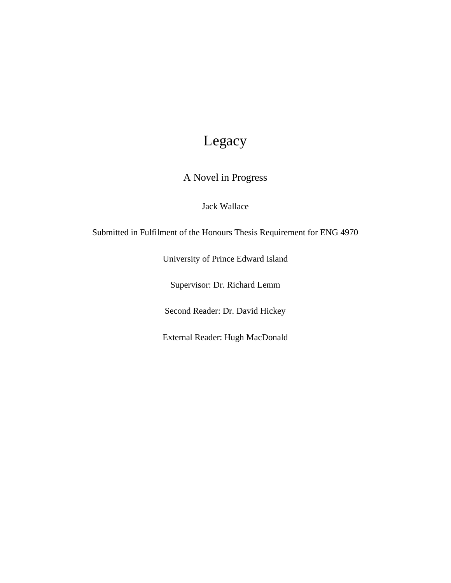# Legacy

A Novel in Progress

Jack Wallace

Submitted in Fulfilment of the Honours Thesis Requirement for ENG 4970

University of Prince Edward Island

Supervisor: Dr. Richard Lemm

Second Reader: Dr. David Hickey

External Reader: Hugh MacDonald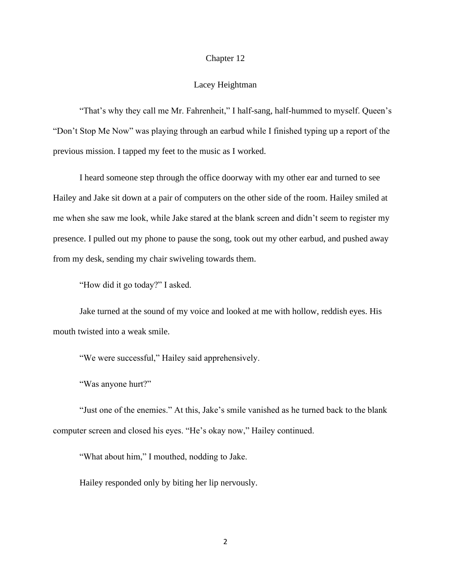## Chapter 12

# Lacey Heightman

"That's why they call me Mr. Fahrenheit," I half-sang, half-hummed to myself. Queen's "Don't Stop Me Now" was playing through an earbud while I finished typing up a report of the previous mission. I tapped my feet to the music as I worked.

I heard someone step through the office doorway with my other ear and turned to see Hailey and Jake sit down at a pair of computers on the other side of the room. Hailey smiled at me when she saw me look, while Jake stared at the blank screen and didn't seem to register my presence. I pulled out my phone to pause the song, took out my other earbud, and pushed away from my desk, sending my chair swiveling towards them.

"How did it go today?" I asked.

Jake turned at the sound of my voice and looked at me with hollow, reddish eyes. His mouth twisted into a weak smile.

"We were successful," Hailey said apprehensively.

"Was anyone hurt?"

"Just one of the enemies." At this, Jake's smile vanished as he turned back to the blank computer screen and closed his eyes. "He's okay now," Hailey continued.

"What about him," I mouthed, nodding to Jake.

Hailey responded only by biting her lip nervously.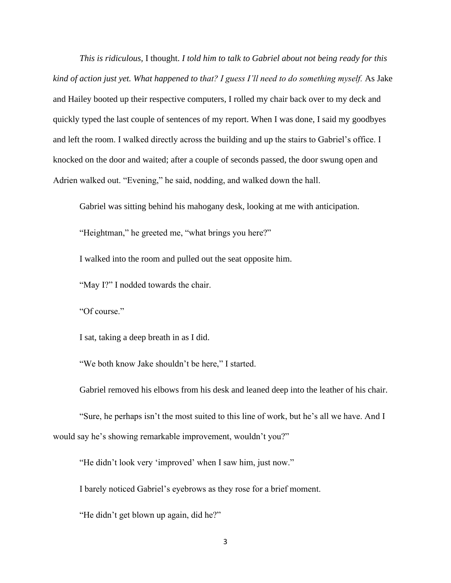*This is ridiculous,* I thought. *I told him to talk to Gabriel about not being ready for this kind of action just yet. What happened to that? I guess I'll need to do something myself.* As Jake and Hailey booted up their respective computers, I rolled my chair back over to my deck and quickly typed the last couple of sentences of my report. When I was done, I said my goodbyes and left the room. I walked directly across the building and up the stairs to Gabriel's office. I knocked on the door and waited; after a couple of seconds passed, the door swung open and Adrien walked out. "Evening," he said, nodding, and walked down the hall.

Gabriel was sitting behind his mahogany desk, looking at me with anticipation.

"Heightman," he greeted me, "what brings you here?"

I walked into the room and pulled out the seat opposite him.

"May I?" I nodded towards the chair.

"Of course."

I sat, taking a deep breath in as I did.

"We both know Jake shouldn't be here," I started.

Gabriel removed his elbows from his desk and leaned deep into the leather of his chair.

"Sure, he perhaps isn't the most suited to this line of work, but he's all we have. And I would say he's showing remarkable improvement, wouldn't you?"

"He didn't look very 'improved' when I saw him, just now."

I barely noticed Gabriel's eyebrows as they rose for a brief moment.

"He didn't get blown up again, did he?"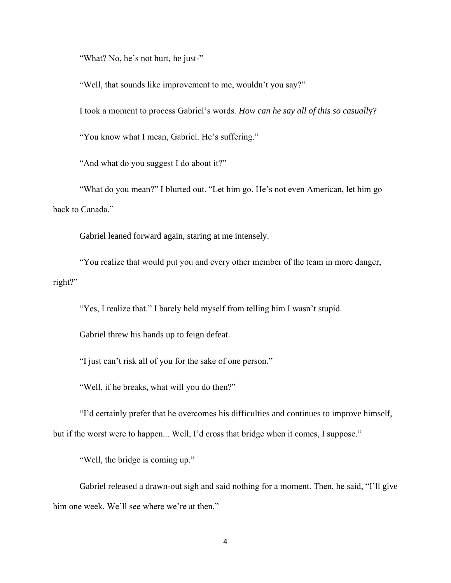"What? No, he's not hurt, he just-"

"Well, that sounds like improvement to me, wouldn't you say?"

I took a moment to process Gabriel's words. *How can he say all of this so casuall*y?

"You know what I mean, Gabriel. He's suffering."

"And what do you suggest I do about it?"

"What do you mean?" I blurted out. "Let him go. He's not even American, let him go back to Canada."

Gabriel leaned forward again, staring at me intensely.

"You realize that would put you and every other member of the team in more danger, right?"

"Yes, I realize that." I barely held myself from telling him I wasn't stupid.

Gabriel threw his hands up to feign defeat.

"I just can't risk all of you for the sake of one person."

"Well, if he breaks, what will you do then?"

"I'd certainly prefer that he overcomes his difficulties and continues to improve himself, but if the worst were to happen... Well, I'd cross that bridge when it comes, I suppose."

"Well, the bridge is coming up."

Gabriel released a drawn-out sigh and said nothing for a moment. Then, he said, "I'll give him one week. We'll see where we're at then."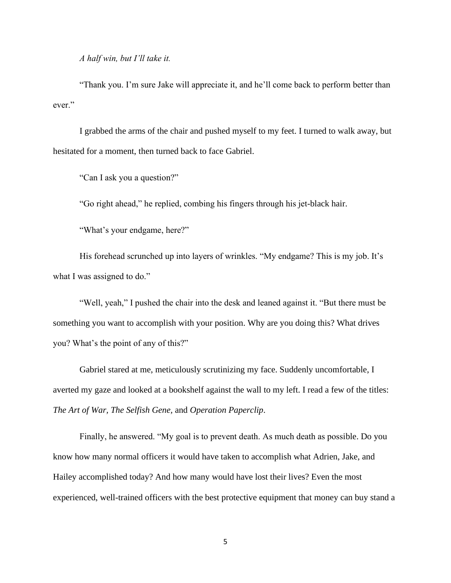*A half win, but I'll take it.* 

"Thank you. I'm sure Jake will appreciate it, and he'll come back to perform better than ever."

I grabbed the arms of the chair and pushed myself to my feet. I turned to walk away, but hesitated for a moment, then turned back to face Gabriel.

"Can I ask you a question?"

"Go right ahead," he replied, combing his fingers through his jet-black hair.

"What's your endgame, here?"

His forehead scrunched up into layers of wrinkles. "My endgame? This is my job. It's what I was assigned to do."

"Well, yeah," I pushed the chair into the desk and leaned against it. "But there must be something you want to accomplish with your position. Why are you doing this? What drives you? What's the point of any of this?"

Gabriel stared at me, meticulously scrutinizing my face. Suddenly uncomfortable, I averted my gaze and looked at a bookshelf against the wall to my left. I read a few of the titles: *The Art of War, The Selfish Gene,* and *Operation Paperclip*.

Finally, he answered. "My goal is to prevent death. As much death as possible. Do you know how many normal officers it would have taken to accomplish what Adrien, Jake, and Hailey accomplished today? And how many would have lost their lives? Even the most experienced, well-trained officers with the best protective equipment that money can buy stand a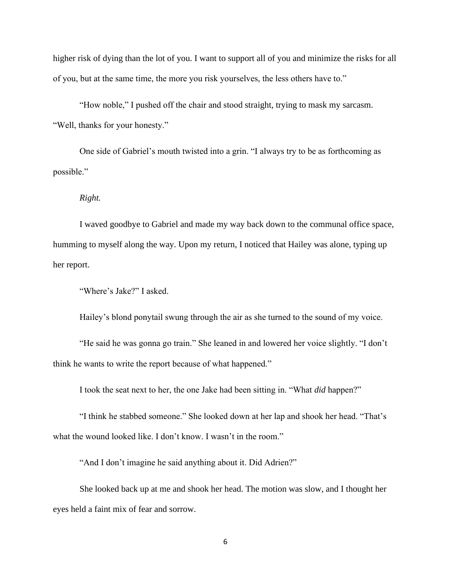higher risk of dying than the lot of you. I want to support all of you and minimize the risks for all of you, but at the same time, the more you risk yourselves, the less others have to."

"How noble," I pushed off the chair and stood straight, trying to mask my sarcasm. "Well, thanks for your honesty."

One side of Gabriel's mouth twisted into a grin. "I always try to be as forthcoming as possible."

*Right.*

I waved goodbye to Gabriel and made my way back down to the communal office space, humming to myself along the way. Upon my return, I noticed that Hailey was alone, typing up her report.

"Where's Jake?" I asked.

Hailey's blond ponytail swung through the air as she turned to the sound of my voice.

"He said he was gonna go train." She leaned in and lowered her voice slightly. "I don't think he wants to write the report because of what happened."

I took the seat next to her, the one Jake had been sitting in. "What *did* happen?"

"I think he stabbed someone." She looked down at her lap and shook her head. "That's what the wound looked like. I don't know. I wasn't in the room."

"And I don't imagine he said anything about it. Did Adrien?"

She looked back up at me and shook her head. The motion was slow, and I thought her eyes held a faint mix of fear and sorrow.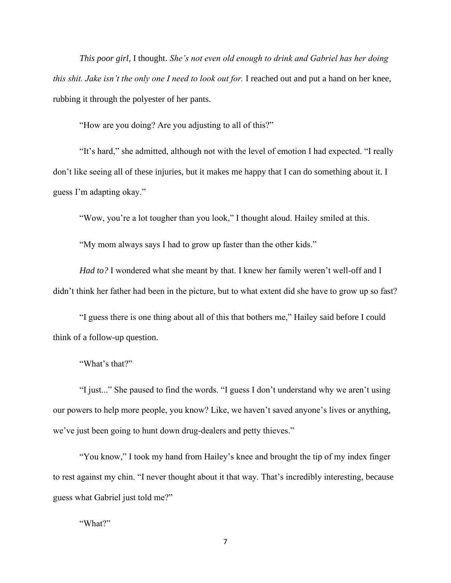*This poor girl,* I thought. *She's not even old enough to drink and Gabriel has her doing this shit. Jake isn't the only one I need to look out for.* I reached out and put a hand on her knee, rubbing it through the polyester of her pants.

"How are you doing? Are you adjusting to all of this?"

"It's hard," she admitted, although not with the level of emotion I had expected. "I really don't like seeing all of these injuries, but it makes me happy that I can do something about it. I guess I'm adapting okay."

"Wow, you're a lot tougher than you look," I thought aloud. Hailey smiled at this.

"My mom always says I had to grow up faster than the other kids."

*Had to?* I wondered what she meant by that. I knew her family weren't well-off and I didn't think her father had been in the picture, but to what extent did she have to grow up so fast?

"I guess there is one thing about all of this that bothers me," Hailey said before I could think of a follow-up question.

"What's that?"

"I just..." She paused to find the words. "I guess I don't understand why we aren't using our powers to help more people, you know? Like, we haven't saved anyone's lives or anything, we've just been going to hunt down drug-dealers and petty thieves."

"You know," I took my hand from Hailey's knee and brought the tip of my index finger to rest against my chin. "I never thought about it that way. That's incredibly interesting, because guess what Gabriel just told me?"

"What?"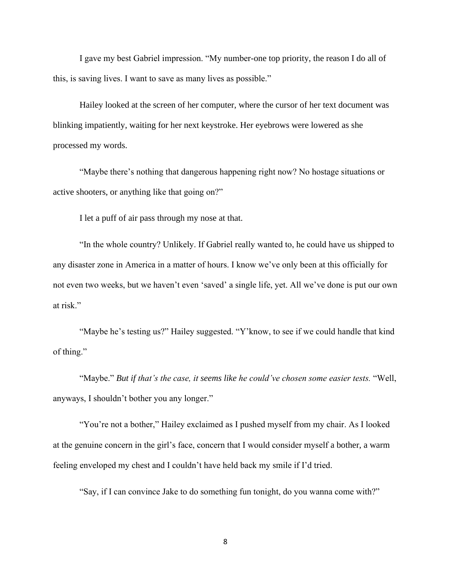I gave my best Gabriel impression. "My number-one top priority, the reason I do all of this, is saving lives. I want to save as many lives as possible."

Hailey looked at the screen of her computer, where the cursor of her text document was blinking impatiently, waiting for her next keystroke. Her eyebrows were lowered as she processed my words.

"Maybe there's nothing that dangerous happening right now? No hostage situations or active shooters, or anything like that going on?"

I let a puff of air pass through my nose at that.

"In the whole country? Unlikely. If Gabriel really wanted to, he could have us shipped to any disaster zone in America in a matter of hours. I know we've only been at this officially for not even two weeks, but we haven't even 'saved' a single life, yet. All we've done is put our own at risk."

"Maybe he's testing us?" Hailey suggested. "Y'know, to see if we could handle that kind of thing."

"Maybe." *But if that's the case, it seems like he could've chosen some easier tests.* "Well, anyways, I shouldn't bother you any longer."

"You're not a bother," Hailey exclaimed as I pushed myself from my chair. As I looked at the genuine concern in the girl's face, concern that I would consider myself a bother, a warm feeling enveloped my chest and I couldn't have held back my smile if I'd tried.

"Say, if I can convince Jake to do something fun tonight, do you wanna come with?"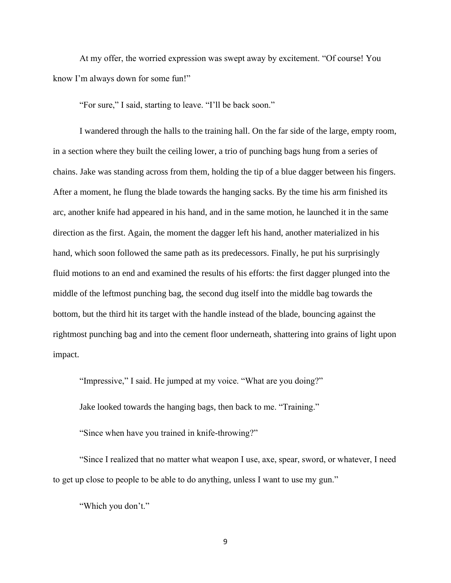At my offer, the worried expression was swept away by excitement. "Of course! You know I'm always down for some fun!"

"For sure," I said, starting to leave. "I'll be back soon."

I wandered through the halls to the training hall. On the far side of the large, empty room, in a section where they built the ceiling lower, a trio of punching bags hung from a series of chains. Jake was standing across from them, holding the tip of a blue dagger between his fingers. After a moment, he flung the blade towards the hanging sacks. By the time his arm finished its arc, another knife had appeared in his hand, and in the same motion, he launched it in the same direction as the first. Again, the moment the dagger left his hand, another materialized in his hand, which soon followed the same path as its predecessors. Finally, he put his surprisingly fluid motions to an end and examined the results of his efforts: the first dagger plunged into the middle of the leftmost punching bag, the second dug itself into the middle bag towards the bottom, but the third hit its target with the handle instead of the blade, bouncing against the rightmost punching bag and into the cement floor underneath, shattering into grains of light upon impact.

"Impressive," I said. He jumped at my voice. "What are you doing?"

Jake looked towards the hanging bags, then back to me. "Training."

"Since when have you trained in knife-throwing?"

"Since I realized that no matter what weapon I use, axe, spear, sword, or whatever, I need to get up close to people to be able to do anything, unless I want to use my gun."

"Which you don't."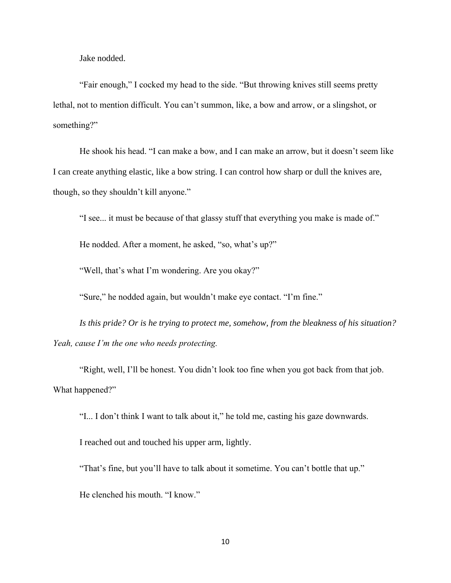Jake nodded.

"Fair enough," I cocked my head to the side. "But throwing knives still seems pretty lethal, not to mention difficult. You can't summon, like, a bow and arrow, or a slingshot, or something?"

He shook his head. "I can make a bow, and I can make an arrow, but it doesn't seem like I can create anything elastic, like a bow string. I can control how sharp or dull the knives are, though, so they shouldn't kill anyone."

"I see... it must be because of that glassy stuff that everything you make is made of."

He nodded. After a moment, he asked, "so, what's up?"

"Well, that's what I'm wondering. Are you okay?"

"Sure," he nodded again, but wouldn't make eye contact. "I'm fine."

*Is this pride? Or is he trying to protect me, somehow, from the bleakness of his situation? Yeah, cause I'm the one who needs protecting.* 

"Right, well, I'll be honest. You didn't look too fine when you got back from that job. What happened?"

"I... I don't think I want to talk about it," he told me, casting his gaze downwards.

I reached out and touched his upper arm, lightly.

"That's fine, but you'll have to talk about it sometime. You can't bottle that up."

He clenched his mouth. "I know."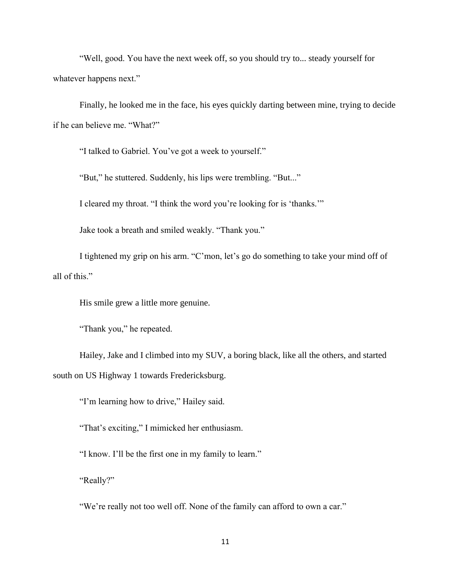"Well, good. You have the next week off, so you should try to... steady yourself for whatever happens next."

Finally, he looked me in the face, his eyes quickly darting between mine, trying to decide if he can believe me. "What?"

"I talked to Gabriel. You've got a week to yourself."

"But," he stuttered. Suddenly, his lips were trembling. "But..."

I cleared my throat. "I think the word you're looking for is 'thanks.'"

Jake took a breath and smiled weakly. "Thank you."

I tightened my grip on his arm. "C'mon, let's go do something to take your mind off of all of this."

His smile grew a little more genuine.

"Thank you," he repeated.

Hailey, Jake and I climbed into my SUV, a boring black, like all the others, and started south on US Highway 1 towards Fredericksburg.

"I'm learning how to drive," Hailey said.

"That's exciting," I mimicked her enthusiasm.

"I know. I'll be the first one in my family to learn."

"Really?"

"We're really not too well off. None of the family can afford to own a car."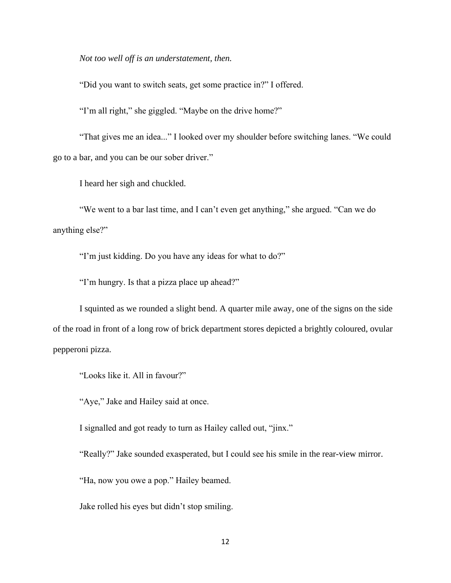*Not too well off is an understatement, then.*

"Did you want to switch seats, get some practice in?" I offered.

"I'm all right," she giggled. "Maybe on the drive home?"

"That gives me an idea..." I looked over my shoulder before switching lanes. "We could go to a bar, and you can be our sober driver."

I heard her sigh and chuckled.

"We went to a bar last time, and I can't even get anything," she argued. "Can we do anything else?"

"I'm just kidding. Do you have any ideas for what to do?"

"I'm hungry. Is that a pizza place up ahead?"

I squinted as we rounded a slight bend. A quarter mile away, one of the signs on the side of the road in front of a long row of brick department stores depicted a brightly coloured, ovular pepperoni pizza.

"Looks like it. All in favour?"

"Aye," Jake and Hailey said at once.

I signalled and got ready to turn as Hailey called out, "jinx."

"Really?" Jake sounded exasperated, but I could see his smile in the rear-view mirror.

"Ha, now you owe a pop." Hailey beamed.

Jake rolled his eyes but didn't stop smiling.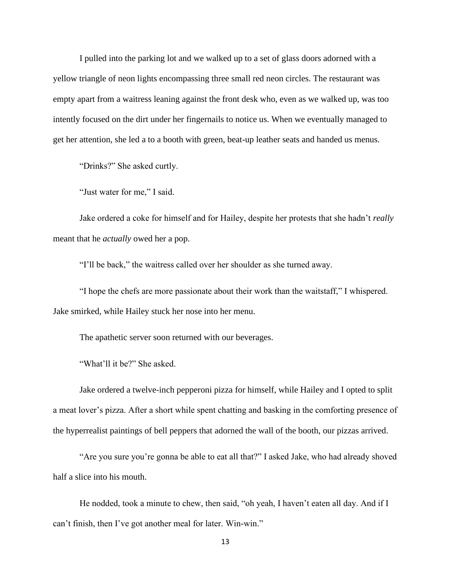I pulled into the parking lot and we walked up to a set of glass doors adorned with a yellow triangle of neon lights encompassing three small red neon circles. The restaurant was empty apart from a waitress leaning against the front desk who, even as we walked up, was too intently focused on the dirt under her fingernails to notice us. When we eventually managed to get her attention, she led a to a booth with green, beat-up leather seats and handed us menus.

"Drinks?" She asked curtly.

"Just water for me," I said.

Jake ordered a coke for himself and for Hailey, despite her protests that she hadn't *really*  meant that he *actually* owed her a pop.

"I'll be back," the waitress called over her shoulder as she turned away.

"I hope the chefs are more passionate about their work than the waitstaff," I whispered. Jake smirked, while Hailey stuck her nose into her menu.

The apathetic server soon returned with our beverages.

"What'll it be?" She asked.

Jake ordered a twelve-inch pepperoni pizza for himself, while Hailey and I opted to split a meat lover's pizza. After a short while spent chatting and basking in the comforting presence of the hyperrealist paintings of bell peppers that adorned the wall of the booth, our pizzas arrived.

"Are you sure you're gonna be able to eat all that?" I asked Jake, who had already shoved half a slice into his mouth.

He nodded, took a minute to chew, then said, "oh yeah, I haven't eaten all day. And if I can't finish, then I've got another meal for later. Win-win."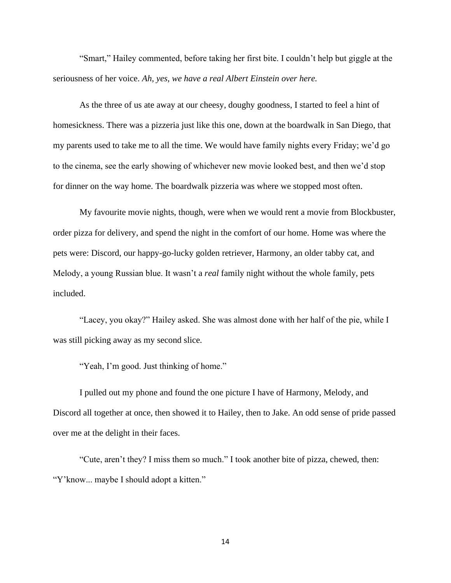"Smart," Hailey commented, before taking her first bite. I couldn't help but giggle at the seriousness of her voice. *Ah, yes, we have a real Albert Einstein over here.* 

As the three of us ate away at our cheesy, doughy goodness, I started to feel a hint of homesickness. There was a pizzeria just like this one, down at the boardwalk in San Diego, that my parents used to take me to all the time. We would have family nights every Friday; we'd go to the cinema, see the early showing of whichever new movie looked best, and then we'd stop for dinner on the way home. The boardwalk pizzeria was where we stopped most often.

My favourite movie nights, though, were when we would rent a movie from Blockbuster, order pizza for delivery, and spend the night in the comfort of our home. Home was where the pets were: Discord, our happy-go-lucky golden retriever, Harmony, an older tabby cat, and Melody, a young Russian blue. It wasn't a *real* family night without the whole family, pets included.

"Lacey, you okay?" Hailey asked. She was almost done with her half of the pie, while I was still picking away as my second slice.

"Yeah, I'm good. Just thinking of home."

I pulled out my phone and found the one picture I have of Harmony, Melody, and Discord all together at once, then showed it to Hailey, then to Jake. An odd sense of pride passed over me at the delight in their faces.

"Cute, aren't they? I miss them so much." I took another bite of pizza, chewed, then: "Y'know... maybe I should adopt a kitten."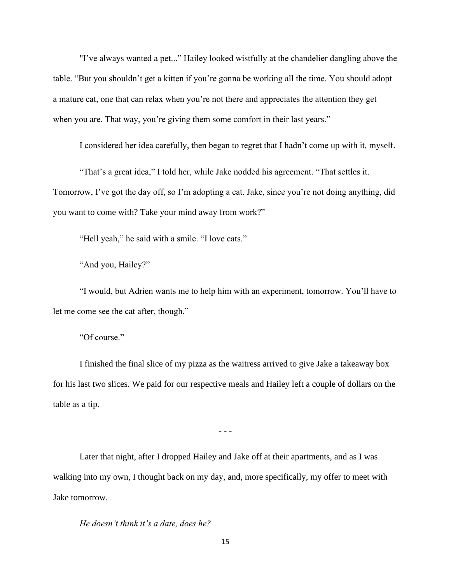"I've always wanted a pet..." Hailey looked wistfully at the chandelier dangling above the table. "But you shouldn't get a kitten if you're gonna be working all the time. You should adopt a mature cat, one that can relax when you're not there and appreciates the attention they get when you are. That way, you're giving them some comfort in their last years."

I considered her idea carefully, then began to regret that I hadn't come up with it, myself.

"That's a great idea," I told her, while Jake nodded his agreement. "That settles it. Tomorrow, I've got the day off, so I'm adopting a cat. Jake, since you're not doing anything, did you want to come with? Take your mind away from work?"

"Hell yeah," he said with a smile. "I love cats."

"And you, Hailey?"

"I would, but Adrien wants me to help him with an experiment, tomorrow. You'll have to let me come see the cat after, though."

"Of course."

I finished the final slice of my pizza as the waitress arrived to give Jake a takeaway box for his last two slices. We paid for our respective meals and Hailey left a couple of dollars on the table as a tip.

 $- - -$ 

Later that night, after I dropped Hailey and Jake off at their apartments, and as I was walking into my own, I thought back on my day, and, more specifically, my offer to meet with Jake tomorrow.

*He doesn't think it's a date, does he?*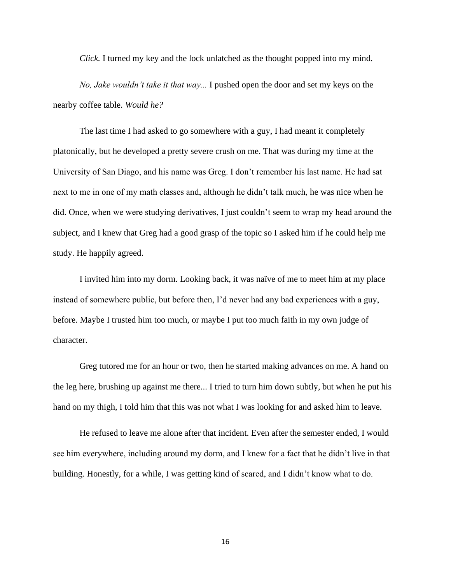*Click.* I turned my key and the lock unlatched as the thought popped into my mind.

*No, Jake wouldn't take it that way...* I pushed open the door and set my keys on the nearby coffee table. *Would he?*

The last time I had asked to go somewhere with a guy, I had meant it completely platonically, but he developed a pretty severe crush on me. That was during my time at the University of San Diago, and his name was Greg. I don't remember his last name. He had sat next to me in one of my math classes and, although he didn't talk much, he was nice when he did. Once, when we were studying derivatives, I just couldn't seem to wrap my head around the subject, and I knew that Greg had a good grasp of the topic so I asked him if he could help me study. He happily agreed.

I invited him into my dorm. Looking back, it was naïve of me to meet him at my place instead of somewhere public, but before then, I'd never had any bad experiences with a guy, before. Maybe I trusted him too much, or maybe I put too much faith in my own judge of character.

Greg tutored me for an hour or two, then he started making advances on me. A hand on the leg here, brushing up against me there... I tried to turn him down subtly, but when he put his hand on my thigh, I told him that this was not what I was looking for and asked him to leave.

He refused to leave me alone after that incident. Even after the semester ended, I would see him everywhere, including around my dorm, and I knew for a fact that he didn't live in that building. Honestly, for a while, I was getting kind of scared, and I didn't know what to do.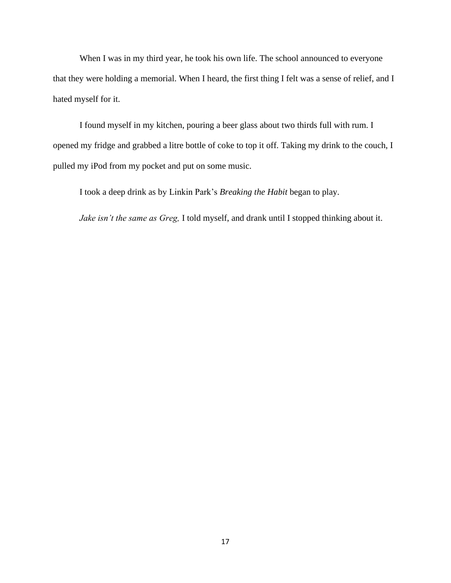When I was in my third year, he took his own life. The school announced to everyone that they were holding a memorial. When I heard, the first thing I felt was a sense of relief, and I hated myself for it.

I found myself in my kitchen, pouring a beer glass about two thirds full with rum. I opened my fridge and grabbed a litre bottle of coke to top it off. Taking my drink to the couch, I pulled my iPod from my pocket and put on some music.

I took a deep drink as by Linkin Park's *Breaking the Habit* began to play.

*Jake isn't the same as Greg,* I told myself, and drank until I stopped thinking about it.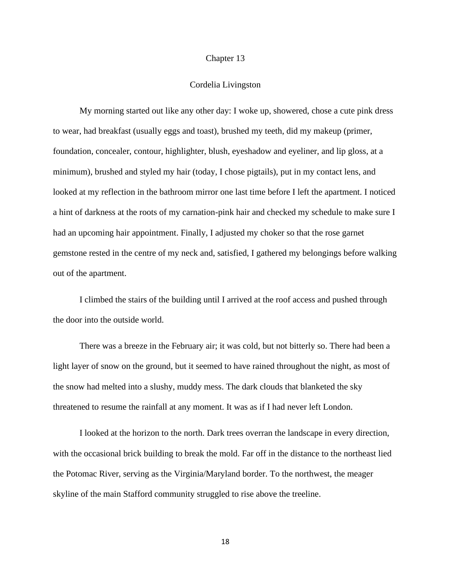#### Chapter 13

# Cordelia Livingston

My morning started out like any other day: I woke up, showered, chose a cute pink dress to wear, had breakfast (usually eggs and toast), brushed my teeth, did my makeup (primer, foundation, concealer, contour, highlighter, blush, eyeshadow and eyeliner, and lip gloss, at a minimum), brushed and styled my hair (today, I chose pigtails), put in my contact lens, and looked at my reflection in the bathroom mirror one last time before I left the apartment. I noticed a hint of darkness at the roots of my carnation-pink hair and checked my schedule to make sure I had an upcoming hair appointment. Finally, I adjusted my choker so that the rose garnet gemstone rested in the centre of my neck and, satisfied, I gathered my belongings before walking out of the apartment.

I climbed the stairs of the building until I arrived at the roof access and pushed through the door into the outside world.

There was a breeze in the February air; it was cold, but not bitterly so. There had been a light layer of snow on the ground, but it seemed to have rained throughout the night, as most of the snow had melted into a slushy, muddy mess. The dark clouds that blanketed the sky threatened to resume the rainfall at any moment. It was as if I had never left London.

I looked at the horizon to the north. Dark trees overran the landscape in every direction, with the occasional brick building to break the mold. Far off in the distance to the northeast lied the Potomac River, serving as the Virginia/Maryland border. To the northwest, the meager skyline of the main Stafford community struggled to rise above the treeline.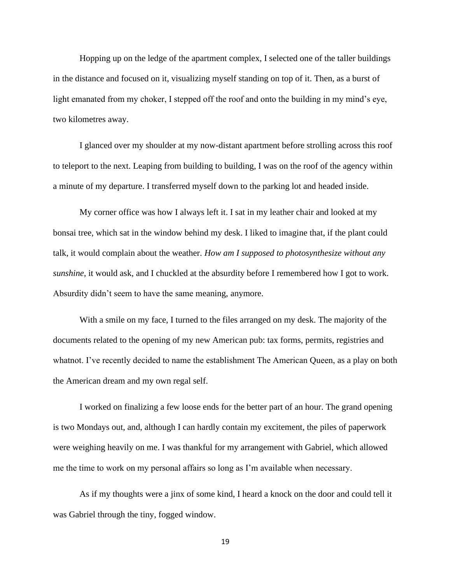Hopping up on the ledge of the apartment complex, I selected one of the taller buildings in the distance and focused on it, visualizing myself standing on top of it. Then, as a burst of light emanated from my choker, I stepped off the roof and onto the building in my mind's eye, two kilometres away.

I glanced over my shoulder at my now-distant apartment before strolling across this roof to teleport to the next. Leaping from building to building, I was on the roof of the agency within a minute of my departure. I transferred myself down to the parking lot and headed inside.

My corner office was how I always left it. I sat in my leather chair and looked at my bonsai tree, which sat in the window behind my desk. I liked to imagine that, if the plant could talk, it would complain about the weather. *How am I supposed to photosynthesize without any sunshine*, it would ask, and I chuckled at the absurdity before I remembered how I got to work. Absurdity didn't seem to have the same meaning, anymore.

With a smile on my face, I turned to the files arranged on my desk. The majority of the documents related to the opening of my new American pub: tax forms, permits, registries and whatnot. I've recently decided to name the establishment The American Queen, as a play on both the American dream and my own regal self.

I worked on finalizing a few loose ends for the better part of an hour. The grand opening is two Mondays out, and, although I can hardly contain my excitement, the piles of paperwork were weighing heavily on me. I was thankful for my arrangement with Gabriel, which allowed me the time to work on my personal affairs so long as I'm available when necessary.

As if my thoughts were a jinx of some kind, I heard a knock on the door and could tell it was Gabriel through the tiny, fogged window.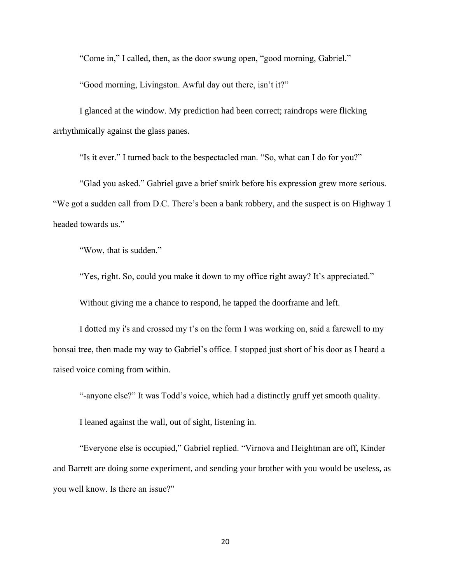"Come in," I called, then, as the door swung open, "good morning, Gabriel."

"Good morning, Livingston. Awful day out there, isn't it?"

I glanced at the window. My prediction had been correct; raindrops were flicking arrhythmically against the glass panes.

"Is it ever." I turned back to the bespectacled man. "So, what can I do for you?"

"Glad you asked." Gabriel gave a brief smirk before his expression grew more serious. "We got a sudden call from D.C. There's been a bank robbery, and the suspect is on Highway 1 headed towards us."

"Wow, that is sudden."

"Yes, right. So, could you make it down to my office right away? It's appreciated."

Without giving me a chance to respond, he tapped the doorframe and left.

I dotted my i's and crossed my t's on the form I was working on, said a farewell to my bonsai tree, then made my way to Gabriel's office. I stopped just short of his door as I heard a raised voice coming from within.

"-anyone else?" It was Todd's voice, which had a distinctly gruff yet smooth quality.

I leaned against the wall, out of sight, listening in.

"Everyone else is occupied," Gabriel replied. "Virnova and Heightman are off, Kinder and Barrett are doing some experiment, and sending your brother with you would be useless, as you well know. Is there an issue?"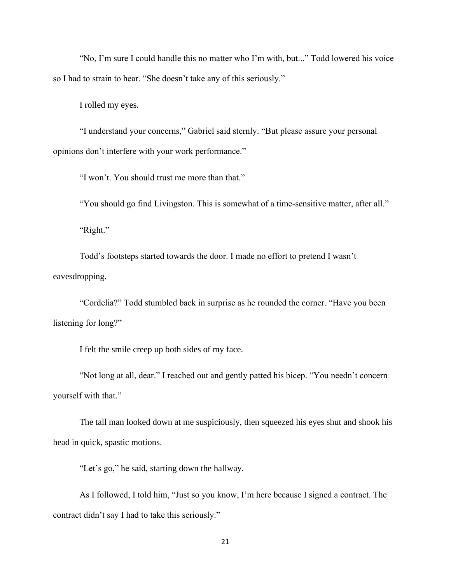"No, I'm sure I could handle this no matter who I'm with, but..." Todd lowered his voice so I had to strain to hear. "She doesn't take any of this seriously."

I rolled my eyes.

"I understand your concerns," Gabriel said sternly. "But please assure your personal opinions don't interfere with your work performance."

"I won't. You should trust me more than that."

"You should go find Livingston. This is somewhat of a time-sensitive matter, after all."

"Right."

Todd's footsteps started towards the door. I made no effort to pretend I wasn't eavesdropping.

"Cordelia?" Todd stumbled back in surprise as he rounded the corner. "Have you been listening for long?"

I felt the smile creep up both sides of my face.

"Not long at all, dear." I reached out and gently patted his bicep. "You needn't concern yourself with that."

The tall man looked down at me suspiciously, then squeezed his eyes shut and shook his head in quick, spastic motions.

"Let's go," he said, starting down the hallway.

As I followed, I told him, "Just so you know, I'm here because I signed a contract. The contract didn't say I had to take this seriously."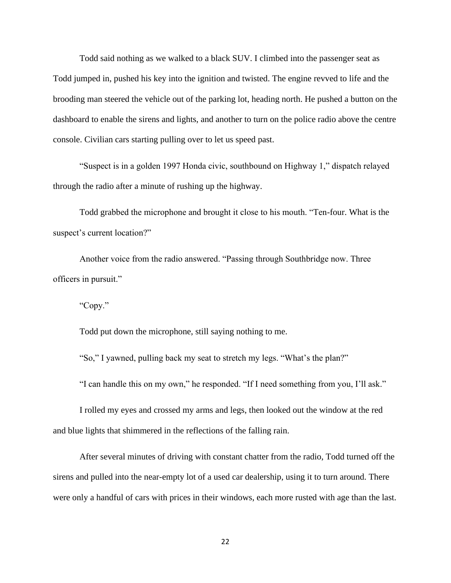Todd said nothing as we walked to a black SUV. I climbed into the passenger seat as Todd jumped in, pushed his key into the ignition and twisted. The engine revved to life and the brooding man steered the vehicle out of the parking lot, heading north. He pushed a button on the dashboard to enable the sirens and lights, and another to turn on the police radio above the centre console. Civilian cars starting pulling over to let us speed past.

"Suspect is in a golden 1997 Honda civic, southbound on Highway 1," dispatch relayed through the radio after a minute of rushing up the highway.

Todd grabbed the microphone and brought it close to his mouth. "Ten-four. What is the suspect's current location?"

Another voice from the radio answered. "Passing through Southbridge now. Three officers in pursuit."

"Copy."

Todd put down the microphone, still saying nothing to me.

"So," I yawned, pulling back my seat to stretch my legs. "What's the plan?"

"I can handle this on my own," he responded. "If I need something from you, I'll ask."

I rolled my eyes and crossed my arms and legs, then looked out the window at the red and blue lights that shimmered in the reflections of the falling rain.

After several minutes of driving with constant chatter from the radio, Todd turned off the sirens and pulled into the near-empty lot of a used car dealership, using it to turn around. There were only a handful of cars with prices in their windows, each more rusted with age than the last.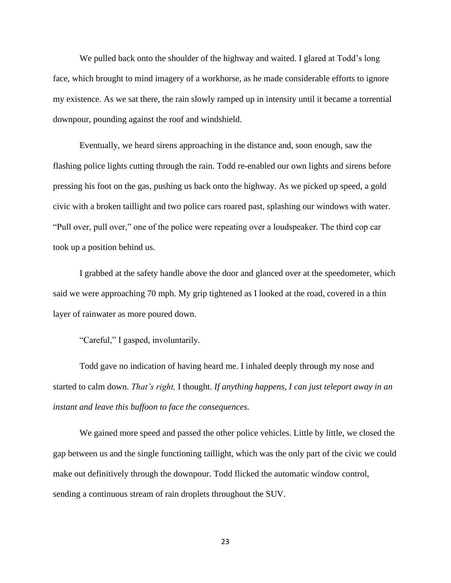We pulled back onto the shoulder of the highway and waited. I glared at Todd's long face, which brought to mind imagery of a workhorse, as he made considerable efforts to ignore my existence. As we sat there, the rain slowly ramped up in intensity until it became a torrential downpour, pounding against the roof and windshield.

Eventually, we heard sirens approaching in the distance and, soon enough, saw the flashing police lights cutting through the rain. Todd re-enabled our own lights and sirens before pressing his foot on the gas, pushing us back onto the highway. As we picked up speed, a gold civic with a broken taillight and two police cars roared past, splashing our windows with water. "Pull over, pull over," one of the police were repeating over a loudspeaker. The third cop car took up a position behind us.

I grabbed at the safety handle above the door and glanced over at the speedometer, which said we were approaching 70 mph. My grip tightened as I looked at the road, covered in a thin layer of rainwater as more poured down.

"Careful," I gasped, involuntarily.

Todd gave no indication of having heard me. I inhaled deeply through my nose and started to calm down. *That's right,* I thought. *If anything happens, I can just teleport away in an instant and leave this buffoon to face the consequences.* 

We gained more speed and passed the other police vehicles. Little by little, we closed the gap between us and the single functioning taillight, which was the only part of the civic we could make out definitively through the downpour. Todd flicked the automatic window control, sending a continuous stream of rain droplets throughout the SUV.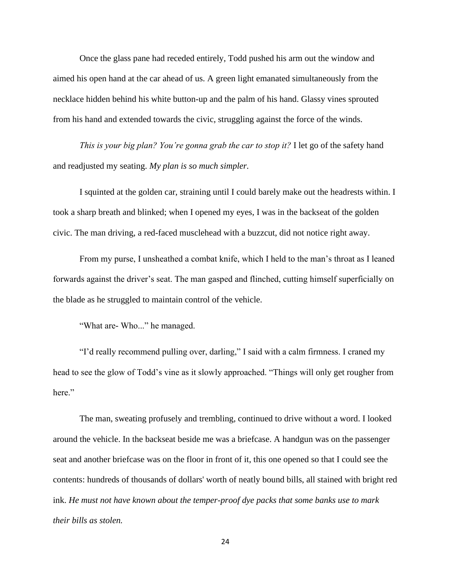Once the glass pane had receded entirely, Todd pushed his arm out the window and aimed his open hand at the car ahead of us. A green light emanated simultaneously from the necklace hidden behind his white button-up and the palm of his hand. Glassy vines sprouted from his hand and extended towards the civic, struggling against the force of the winds.

*This is your big plan? You're gonna grab the car to stop it?* I let go of the safety hand and readjusted my seating. *My plan is so much simpler.* 

I squinted at the golden car, straining until I could barely make out the headrests within. I took a sharp breath and blinked; when I opened my eyes, I was in the backseat of the golden civic. The man driving, a red-faced musclehead with a buzzcut, did not notice right away.

From my purse, I unsheathed a combat knife, which I held to the man's throat as I leaned forwards against the driver's seat. The man gasped and flinched, cutting himself superficially on the blade as he struggled to maintain control of the vehicle.

"What are- Who..." he managed.

"I'd really recommend pulling over, darling," I said with a calm firmness. I craned my head to see the glow of Todd's vine as it slowly approached. "Things will only get rougher from here."

The man, sweating profusely and trembling, continued to drive without a word. I looked around the vehicle. In the backseat beside me was a briefcase. A handgun was on the passenger seat and another briefcase was on the floor in front of it, this one opened so that I could see the contents: hundreds of thousands of dollars' worth of neatly bound bills, all stained with bright red ink. *He must not have known about the temper-proof dye packs that some banks use to mark their bills as stolen.*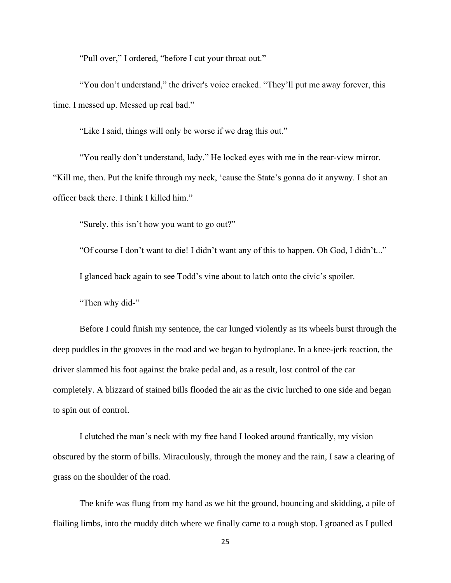"Pull over," I ordered, "before I cut your throat out."

"You don't understand," the driver's voice cracked. "They'll put me away forever, this time. I messed up. Messed up real bad."

"Like I said, things will only be worse if we drag this out."

"You really don't understand, lady." He locked eyes with me in the rear-view mirror. "Kill me, then. Put the knife through my neck, 'cause the State's gonna do it anyway. I shot an officer back there. I think I killed him."

"Surely, this isn't how you want to go out?"

"Of course I don't want to die! I didn't want any of this to happen. Oh God, I didn't..."

I glanced back again to see Todd's vine about to latch onto the civic's spoiler.

"Then why did-"

Before I could finish my sentence, the car lunged violently as its wheels burst through the deep puddles in the grooves in the road and we began to hydroplane. In a knee-jerk reaction, the driver slammed his foot against the brake pedal and, as a result, lost control of the car completely. A blizzard of stained bills flooded the air as the civic lurched to one side and began to spin out of control.

I clutched the man's neck with my free hand I looked around frantically, my vision obscured by the storm of bills. Miraculously, through the money and the rain, I saw a clearing of grass on the shoulder of the road.

The knife was flung from my hand as we hit the ground, bouncing and skidding, a pile of flailing limbs, into the muddy ditch where we finally came to a rough stop. I groaned as I pulled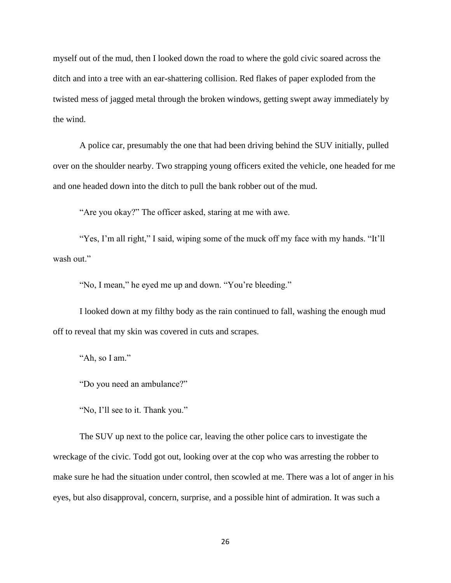myself out of the mud, then I looked down the road to where the gold civic soared across the ditch and into a tree with an ear-shattering collision. Red flakes of paper exploded from the twisted mess of jagged metal through the broken windows, getting swept away immediately by the wind.

A police car, presumably the one that had been driving behind the SUV initially, pulled over on the shoulder nearby. Two strapping young officers exited the vehicle, one headed for me and one headed down into the ditch to pull the bank robber out of the mud.

"Are you okay?" The officer asked, staring at me with awe.

"Yes, I'm all right," I said, wiping some of the muck off my face with my hands. "It'll wash out."

"No, I mean," he eyed me up and down. "You're bleeding."

I looked down at my filthy body as the rain continued to fall, washing the enough mud off to reveal that my skin was covered in cuts and scrapes.

"Ah, so I am."

"Do you need an ambulance?"

"No, I'll see to it. Thank you."

The SUV up next to the police car, leaving the other police cars to investigate the wreckage of the civic. Todd got out, looking over at the cop who was arresting the robber to make sure he had the situation under control, then scowled at me. There was a lot of anger in his eyes, but also disapproval, concern, surprise, and a possible hint of admiration. It was such a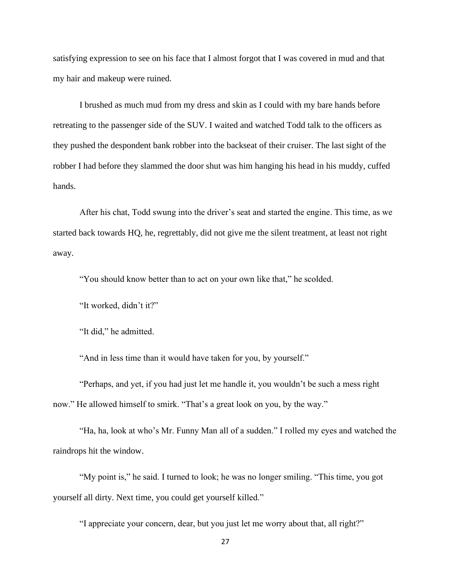satisfying expression to see on his face that I almost forgot that I was covered in mud and that my hair and makeup were ruined.

I brushed as much mud from my dress and skin as I could with my bare hands before retreating to the passenger side of the SUV. I waited and watched Todd talk to the officers as they pushed the despondent bank robber into the backseat of their cruiser. The last sight of the robber I had before they slammed the door shut was him hanging his head in his muddy, cuffed hands.

After his chat, Todd swung into the driver's seat and started the engine. This time, as we started back towards HQ, he, regrettably, did not give me the silent treatment, at least not right away.

"You should know better than to act on your own like that," he scolded.

"It worked, didn't it?"

"It did," he admitted.

"And in less time than it would have taken for you, by yourself."

"Perhaps, and yet, if you had just let me handle it, you wouldn't be such a mess right now." He allowed himself to smirk. "That's a great look on you, by the way."

"Ha, ha, look at who's Mr. Funny Man all of a sudden." I rolled my eyes and watched the raindrops hit the window.

"My point is," he said. I turned to look; he was no longer smiling. "This time, you got yourself all dirty. Next time, you could get yourself killed."

"I appreciate your concern, dear, but you just let me worry about that, all right?"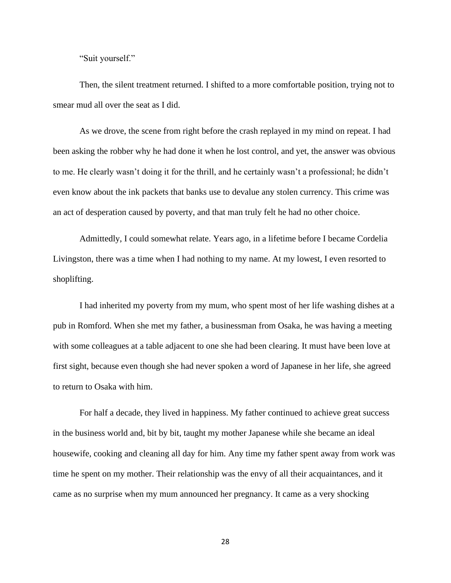"Suit yourself."

Then, the silent treatment returned. I shifted to a more comfortable position, trying not to smear mud all over the seat as I did.

As we drove, the scene from right before the crash replayed in my mind on repeat. I had been asking the robber why he had done it when he lost control, and yet, the answer was obvious to me. He clearly wasn't doing it for the thrill, and he certainly wasn't a professional; he didn't even know about the ink packets that banks use to devalue any stolen currency. This crime was an act of desperation caused by poverty, and that man truly felt he had no other choice.

Admittedly, I could somewhat relate. Years ago, in a lifetime before I became Cordelia Livingston, there was a time when I had nothing to my name. At my lowest, I even resorted to shoplifting.

I had inherited my poverty from my mum, who spent most of her life washing dishes at a pub in Romford. When she met my father, a businessman from Osaka, he was having a meeting with some colleagues at a table adjacent to one she had been clearing. It must have been love at first sight, because even though she had never spoken a word of Japanese in her life, she agreed to return to Osaka with him.

For half a decade, they lived in happiness. My father continued to achieve great success in the business world and, bit by bit, taught my mother Japanese while she became an ideal housewife, cooking and cleaning all day for him. Any time my father spent away from work was time he spent on my mother. Their relationship was the envy of all their acquaintances, and it came as no surprise when my mum announced her pregnancy. It came as a very shocking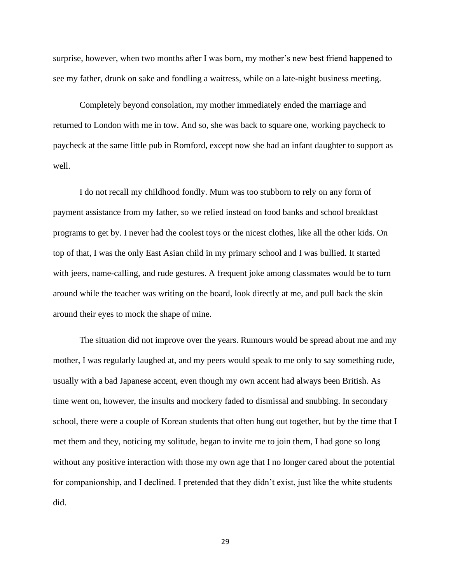surprise, however, when two months after I was born, my mother's new best friend happened to see my father, drunk on sake and fondling a waitress, while on a late-night business meeting.

Completely beyond consolation, my mother immediately ended the marriage and returned to London with me in tow. And so, she was back to square one, working paycheck to paycheck at the same little pub in Romford, except now she had an infant daughter to support as well.

I do not recall my childhood fondly. Mum was too stubborn to rely on any form of payment assistance from my father, so we relied instead on food banks and school breakfast programs to get by. I never had the coolest toys or the nicest clothes, like all the other kids. On top of that, I was the only East Asian child in my primary school and I was bullied. It started with jeers, name-calling, and rude gestures. A frequent joke among classmates would be to turn around while the teacher was writing on the board, look directly at me, and pull back the skin around their eyes to mock the shape of mine.

The situation did not improve over the years. Rumours would be spread about me and my mother, I was regularly laughed at, and my peers would speak to me only to say something rude, usually with a bad Japanese accent, even though my own accent had always been British. As time went on, however, the insults and mockery faded to dismissal and snubbing. In secondary school, there were a couple of Korean students that often hung out together, but by the time that I met them and they, noticing my solitude, began to invite me to join them, I had gone so long without any positive interaction with those my own age that I no longer cared about the potential for companionship, and I declined. I pretended that they didn't exist, just like the white students did.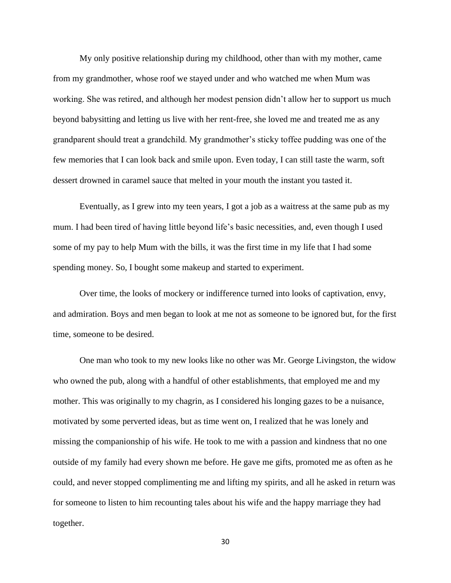My only positive relationship during my childhood, other than with my mother, came from my grandmother, whose roof we stayed under and who watched me when Mum was working. She was retired, and although her modest pension didn't allow her to support us much beyond babysitting and letting us live with her rent-free, she loved me and treated me as any grandparent should treat a grandchild. My grandmother's sticky toffee pudding was one of the few memories that I can look back and smile upon. Even today, I can still taste the warm, soft dessert drowned in caramel sauce that melted in your mouth the instant you tasted it.

Eventually, as I grew into my teen years, I got a job as a waitress at the same pub as my mum. I had been tired of having little beyond life's basic necessities, and, even though I used some of my pay to help Mum with the bills, it was the first time in my life that I had some spending money. So, I bought some makeup and started to experiment.

Over time, the looks of mockery or indifference turned into looks of captivation, envy, and admiration. Boys and men began to look at me not as someone to be ignored but, for the first time, someone to be desired.

One man who took to my new looks like no other was Mr. George Livingston, the widow who owned the pub, along with a handful of other establishments, that employed me and my mother. This was originally to my chagrin, as I considered his longing gazes to be a nuisance, motivated by some perverted ideas, but as time went on, I realized that he was lonely and missing the companionship of his wife. He took to me with a passion and kindness that no one outside of my family had every shown me before. He gave me gifts, promoted me as often as he could, and never stopped complimenting me and lifting my spirits, and all he asked in return was for someone to listen to him recounting tales about his wife and the happy marriage they had together.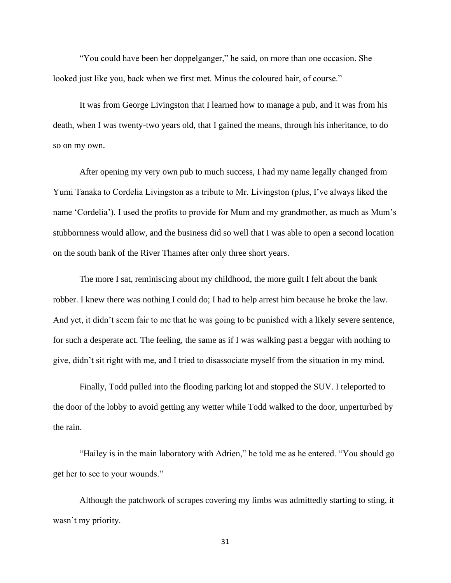"You could have been her doppelganger," he said, on more than one occasion. She looked just like you, back when we first met. Minus the coloured hair, of course."

It was from George Livingston that I learned how to manage a pub, and it was from his death, when I was twenty-two years old, that I gained the means, through his inheritance, to do so on my own.

After opening my very own pub to much success, I had my name legally changed from Yumi Tanaka to Cordelia Livingston as a tribute to Mr. Livingston (plus, I've always liked the name 'Cordelia'). I used the profits to provide for Mum and my grandmother, as much as Mum's stubbornness would allow, and the business did so well that I was able to open a second location on the south bank of the River Thames after only three short years.

The more I sat, reminiscing about my childhood, the more guilt I felt about the bank robber. I knew there was nothing I could do; I had to help arrest him because he broke the law. And yet, it didn't seem fair to me that he was going to be punished with a likely severe sentence, for such a desperate act. The feeling, the same as if I was walking past a beggar with nothing to give, didn't sit right with me, and I tried to disassociate myself from the situation in my mind.

Finally, Todd pulled into the flooding parking lot and stopped the SUV. I teleported to the door of the lobby to avoid getting any wetter while Todd walked to the door, unperturbed by the rain.

"Hailey is in the main laboratory with Adrien," he told me as he entered. "You should go get her to see to your wounds."

Although the patchwork of scrapes covering my limbs was admittedly starting to sting, it wasn't my priority.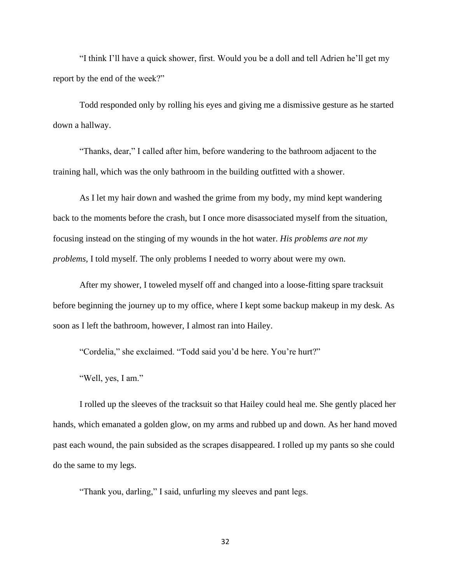"I think I'll have a quick shower, first. Would you be a doll and tell Adrien he'll get my report by the end of the week?"

Todd responded only by rolling his eyes and giving me a dismissive gesture as he started down a hallway.

"Thanks, dear," I called after him, before wandering to the bathroom adjacent to the training hall, which was the only bathroom in the building outfitted with a shower.

As I let my hair down and washed the grime from my body, my mind kept wandering back to the moments before the crash, but I once more disassociated myself from the situation, focusing instead on the stinging of my wounds in the hot water. *His problems are not my problems,* I told myself. The only problems I needed to worry about were my own.

After my shower, I toweled myself off and changed into a loose-fitting spare tracksuit before beginning the journey up to my office, where I kept some backup makeup in my desk. As soon as I left the bathroom, however, I almost ran into Hailey.

"Cordelia," she exclaimed. "Todd said you'd be here. You're hurt?"

"Well, yes, I am."

I rolled up the sleeves of the tracksuit so that Hailey could heal me. She gently placed her hands, which emanated a golden glow, on my arms and rubbed up and down. As her hand moved past each wound, the pain subsided as the scrapes disappeared. I rolled up my pants so she could do the same to my legs.

"Thank you, darling," I said, unfurling my sleeves and pant legs.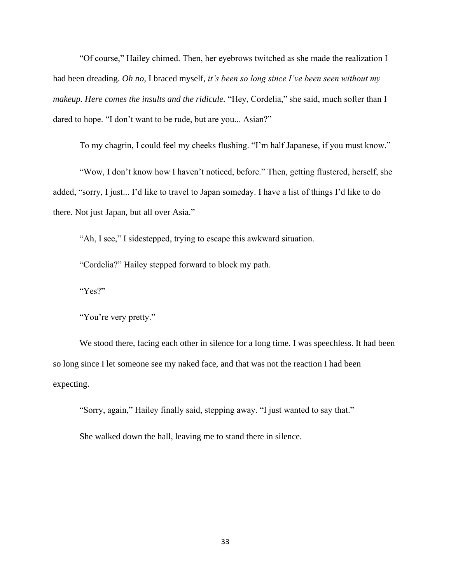"Of course," Hailey chimed. Then, her eyebrows twitched as she made the realization I had been dreading. *Oh no,* I braced myself, *it's been so long since I've been seen without my makeup. Here comes the insults and the ridicule.* "Hey, Cordelia," she said, much softer than I dared to hope. "I don't want to be rude, but are you... Asian?"

To my chagrin, I could feel my cheeks flushing. "I'm half Japanese, if you must know."

"Wow, I don't know how I haven't noticed, before." Then, getting flustered, herself, she added, "sorry, I just... I'd like to travel to Japan someday. I have a list of things I'd like to do there. Not just Japan, but all over Asia."

"Ah, I see," I sidestepped, trying to escape this awkward situation.

"Cordelia?" Hailey stepped forward to block my path.

"Yes?"

"You're very pretty."

We stood there, facing each other in silence for a long time. I was speechless. It had been so long since I let someone see my naked face, and that was not the reaction I had been expecting.

"Sorry, again," Hailey finally said, stepping away. "I just wanted to say that."

She walked down the hall, leaving me to stand there in silence.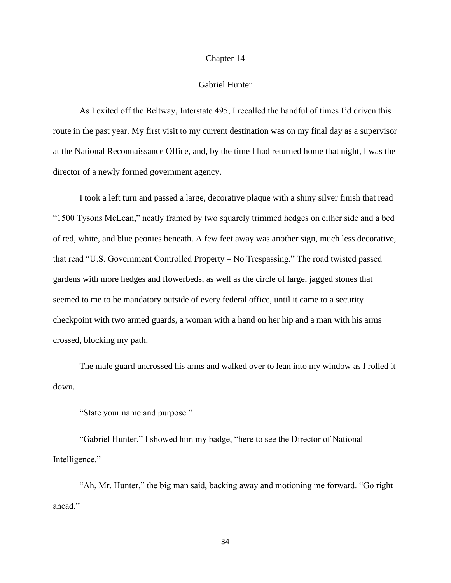### Chapter 14

## Gabriel Hunter

As I exited off the Beltway, Interstate 495, I recalled the handful of times I'd driven this route in the past year. My first visit to my current destination was on my final day as a supervisor at the National Reconnaissance Office, and, by the time I had returned home that night, I was the director of a newly formed government agency.

I took a left turn and passed a large, decorative plaque with a shiny silver finish that read "1500 Tysons McLean," neatly framed by two squarely trimmed hedges on either side and a bed of red, white, and blue peonies beneath. A few feet away was another sign, much less decorative, that read "U.S. Government Controlled Property – No Trespassing." The road twisted passed gardens with more hedges and flowerbeds, as well as the circle of large, jagged stones that seemed to me to be mandatory outside of every federal office, until it came to a security checkpoint with two armed guards, a woman with a hand on her hip and a man with his arms crossed, blocking my path.

The male guard uncrossed his arms and walked over to lean into my window as I rolled it down.

"State your name and purpose."

"Gabriel Hunter," I showed him my badge, "here to see the Director of National Intelligence."

"Ah, Mr. Hunter," the big man said, backing away and motioning me forward. "Go right ahead."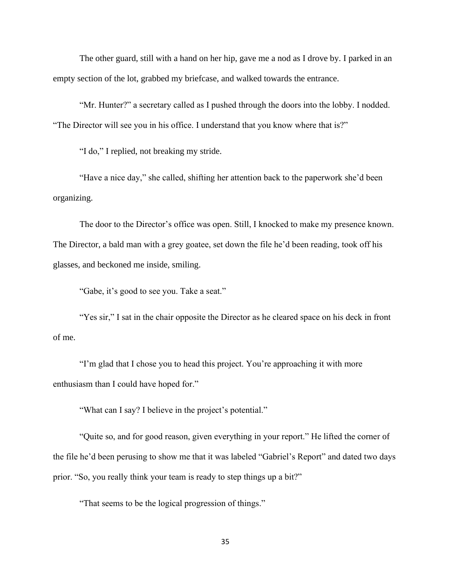The other guard, still with a hand on her hip, gave me a nod as I drove by. I parked in an empty section of the lot, grabbed my briefcase, and walked towards the entrance.

"Mr. Hunter?" a secretary called as I pushed through the doors into the lobby. I nodded. "The Director will see you in his office. I understand that you know where that is?"

"I do," I replied, not breaking my stride.

"Have a nice day," she called, shifting her attention back to the paperwork she'd been organizing.

The door to the Director's office was open. Still, I knocked to make my presence known. The Director, a bald man with a grey goatee, set down the file he'd been reading, took off his glasses, and beckoned me inside, smiling.

"Gabe, it's good to see you. Take a seat."

"Yes sir," I sat in the chair opposite the Director as he cleared space on his deck in front of me.

"I'm glad that I chose you to head this project. You're approaching it with more enthusiasm than I could have hoped for."

"What can I say? I believe in the project's potential."

"Quite so, and for good reason, given everything in your report." He lifted the corner of the file he'd been perusing to show me that it was labeled "Gabriel's Report" and dated two days prior. "So, you really think your team is ready to step things up a bit?"

"That seems to be the logical progression of things."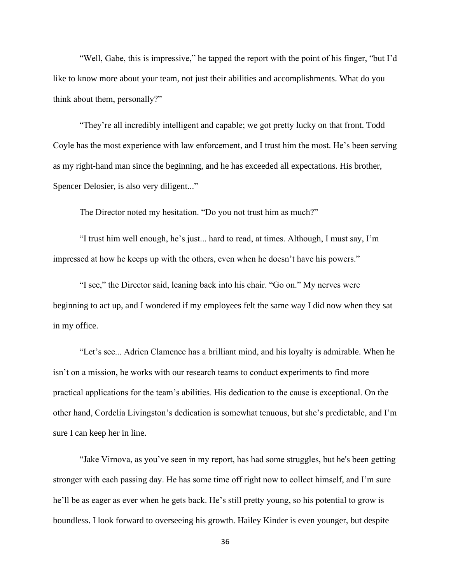"Well, Gabe, this is impressive," he tapped the report with the point of his finger, "but I'd like to know more about your team, not just their abilities and accomplishments. What do you think about them, personally?"

"They're all incredibly intelligent and capable; we got pretty lucky on that front. Todd Coyle has the most experience with law enforcement, and I trust him the most. He's been serving as my right-hand man since the beginning, and he has exceeded all expectations. His brother, Spencer Delosier, is also very diligent..."

The Director noted my hesitation. "Do you not trust him as much?"

"I trust him well enough, he's just... hard to read, at times. Although, I must say, I'm impressed at how he keeps up with the others, even when he doesn't have his powers."

"I see," the Director said, leaning back into his chair. "Go on." My nerves were beginning to act up, and I wondered if my employees felt the same way I did now when they sat in my office.

"Let's see... Adrien Clamence has a brilliant mind, and his loyalty is admirable. When he isn't on a mission, he works with our research teams to conduct experiments to find more practical applications for the team's abilities. His dedication to the cause is exceptional. On the other hand, Cordelia Livingston's dedication is somewhat tenuous, but she's predictable, and I'm sure I can keep her in line.

"Jake Virnova, as you've seen in my report, has had some struggles, but he's been getting stronger with each passing day. He has some time off right now to collect himself, and I'm sure he'll be as eager as ever when he gets back. He's still pretty young, so his potential to grow is boundless. I look forward to overseeing his growth. Hailey Kinder is even younger, but despite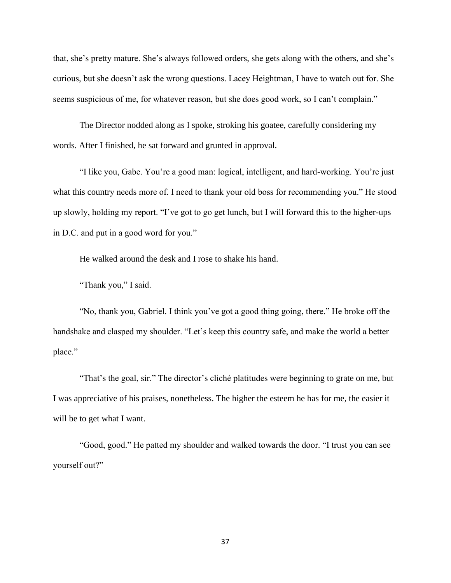that, she's pretty mature. She's always followed orders, she gets along with the others, and she's curious, but she doesn't ask the wrong questions. Lacey Heightman, I have to watch out for. She seems suspicious of me, for whatever reason, but she does good work, so I can't complain."

The Director nodded along as I spoke, stroking his goatee, carefully considering my words. After I finished, he sat forward and grunted in approval.

"I like you, Gabe. You're a good man: logical, intelligent, and hard-working. You're just what this country needs more of. I need to thank your old boss for recommending you." He stood up slowly, holding my report. "I've got to go get lunch, but I will forward this to the higher-ups in D.C. and put in a good word for you."

He walked around the desk and I rose to shake his hand.

"Thank you," I said.

"No, thank you, Gabriel. I think you've got a good thing going, there." He broke off the handshake and clasped my shoulder. "Let's keep this country safe, and make the world a better place."

"That's the goal, sir." The director's cliché platitudes were beginning to grate on me, but I was appreciative of his praises, nonetheless. The higher the esteem he has for me, the easier it will be to get what I want.

"Good, good." He patted my shoulder and walked towards the door. "I trust you can see yourself out?"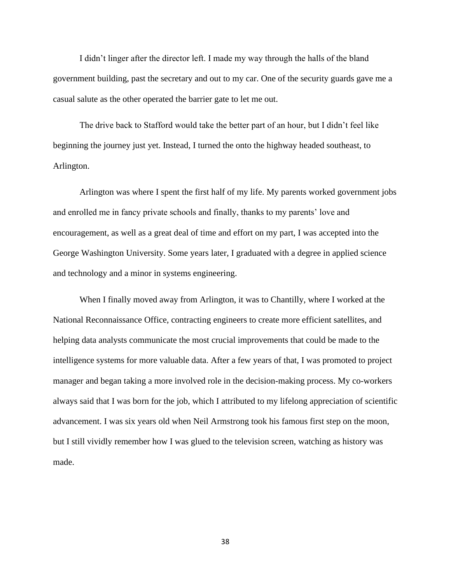I didn't linger after the director left. I made my way through the halls of the bland government building, past the secretary and out to my car. One of the security guards gave me a casual salute as the other operated the barrier gate to let me out.

The drive back to Stafford would take the better part of an hour, but I didn't feel like beginning the journey just yet. Instead, I turned the onto the highway headed southeast, to Arlington.

Arlington was where I spent the first half of my life. My parents worked government jobs and enrolled me in fancy private schools and finally, thanks to my parents' love and encouragement, as well as a great deal of time and effort on my part, I was accepted into the George Washington University. Some years later, I graduated with a degree in applied science and technology and a minor in systems engineering.

When I finally moved away from Arlington, it was to Chantilly, where I worked at the National Reconnaissance Office, contracting engineers to create more efficient satellites, and helping data analysts communicate the most crucial improvements that could be made to the intelligence systems for more valuable data. After a few years of that, I was promoted to project manager and began taking a more involved role in the decision-making process. My co-workers always said that I was born for the job, which I attributed to my lifelong appreciation of scientific advancement. I was six years old when Neil Armstrong took his famous first step on the moon, but I still vividly remember how I was glued to the television screen, watching as history was made.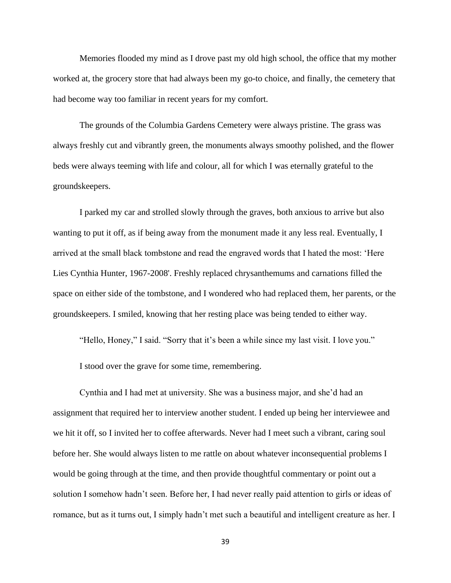Memories flooded my mind as I drove past my old high school, the office that my mother worked at, the grocery store that had always been my go-to choice, and finally, the cemetery that had become way too familiar in recent years for my comfort.

The grounds of the Columbia Gardens Cemetery were always pristine. The grass was always freshly cut and vibrantly green, the monuments always smoothy polished, and the flower beds were always teeming with life and colour, all for which I was eternally grateful to the groundskeepers.

I parked my car and strolled slowly through the graves, both anxious to arrive but also wanting to put it off, as if being away from the monument made it any less real. Eventually, I arrived at the small black tombstone and read the engraved words that I hated the most: 'Here Lies Cynthia Hunter, 1967-2008'. Freshly replaced chrysanthemums and carnations filled the space on either side of the tombstone, and I wondered who had replaced them, her parents, or the groundskeepers. I smiled, knowing that her resting place was being tended to either way.

"Hello, Honey," I said. "Sorry that it's been a while since my last visit. I love you."

I stood over the grave for some time, remembering.

Cynthia and I had met at university. She was a business major, and she'd had an assignment that required her to interview another student. I ended up being her interviewee and we hit it off, so I invited her to coffee afterwards. Never had I meet such a vibrant, caring soul before her. She would always listen to me rattle on about whatever inconsequential problems I would be going through at the time, and then provide thoughtful commentary or point out a solution I somehow hadn't seen. Before her, I had never really paid attention to girls or ideas of romance, but as it turns out, I simply hadn't met such a beautiful and intelligent creature as her. I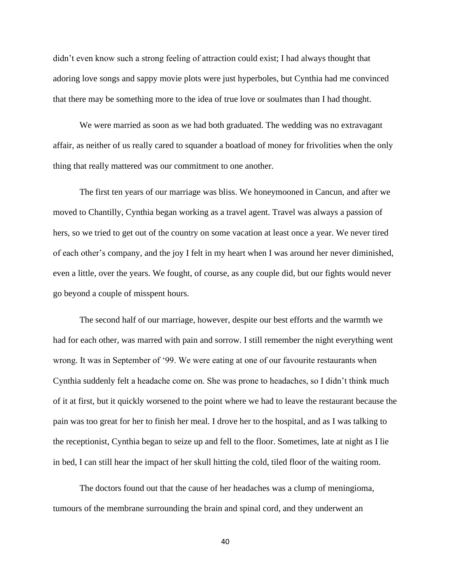didn't even know such a strong feeling of attraction could exist; I had always thought that adoring love songs and sappy movie plots were just hyperboles, but Cynthia had me convinced that there may be something more to the idea of true love or soulmates than I had thought.

We were married as soon as we had both graduated. The wedding was no extravagant affair, as neither of us really cared to squander a boatload of money for frivolities when the only thing that really mattered was our commitment to one another.

The first ten years of our marriage was bliss. We honeymooned in Cancun, and after we moved to Chantilly, Cynthia began working as a travel agent. Travel was always a passion of hers, so we tried to get out of the country on some vacation at least once a year. We never tired of each other's company, and the joy I felt in my heart when I was around her never diminished, even a little, over the years. We fought, of course, as any couple did, but our fights would never go beyond a couple of misspent hours.

The second half of our marriage, however, despite our best efforts and the warmth we had for each other, was marred with pain and sorrow. I still remember the night everything went wrong. It was in September of '99. We were eating at one of our favourite restaurants when Cynthia suddenly felt a headache come on. She was prone to headaches, so I didn't think much of it at first, but it quickly worsened to the point where we had to leave the restaurant because the pain was too great for her to finish her meal. I drove her to the hospital, and as I was talking to the receptionist, Cynthia began to seize up and fell to the floor. Sometimes, late at night as I lie in bed, I can still hear the impact of her skull hitting the cold, tiled floor of the waiting room.

The doctors found out that the cause of her headaches was a clump of meningioma, tumours of the membrane surrounding the brain and spinal cord, and they underwent an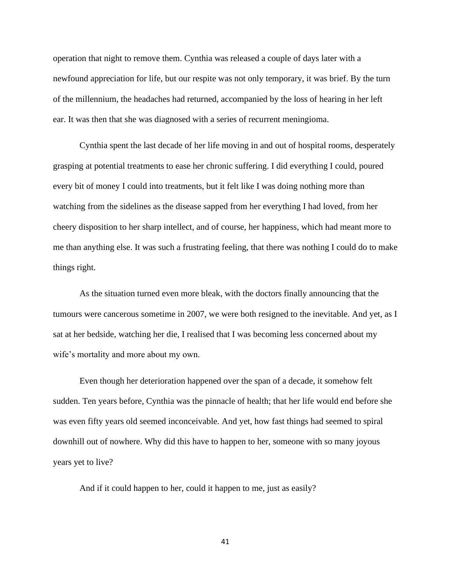operation that night to remove them. Cynthia was released a couple of days later with a newfound appreciation for life, but our respite was not only temporary, it was brief. By the turn of the millennium, the headaches had returned, accompanied by the loss of hearing in her left ear. It was then that she was diagnosed with a series of recurrent meningioma.

Cynthia spent the last decade of her life moving in and out of hospital rooms, desperately grasping at potential treatments to ease her chronic suffering. I did everything I could, poured every bit of money I could into treatments, but it felt like I was doing nothing more than watching from the sidelines as the disease sapped from her everything I had loved, from her cheery disposition to her sharp intellect, and of course, her happiness, which had meant more to me than anything else. It was such a frustrating feeling, that there was nothing I could do to make things right.

As the situation turned even more bleak, with the doctors finally announcing that the tumours were cancerous sometime in 2007, we were both resigned to the inevitable. And yet, as I sat at her bedside, watching her die, I realised that I was becoming less concerned about my wife's mortality and more about my own.

Even though her deterioration happened over the span of a decade, it somehow felt sudden. Ten years before, Cynthia was the pinnacle of health; that her life would end before she was even fifty years old seemed inconceivable. And yet, how fast things had seemed to spiral downhill out of nowhere. Why did this have to happen to her, someone with so many joyous years yet to live?

And if it could happen to her, could it happen to me, just as easily?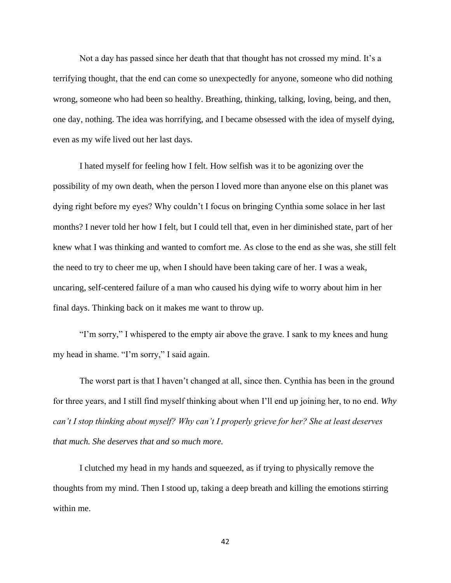Not a day has passed since her death that that thought has not crossed my mind. It's a terrifying thought, that the end can come so unexpectedly for anyone, someone who did nothing wrong, someone who had been so healthy. Breathing, thinking, talking, loving, being, and then, one day, nothing. The idea was horrifying, and I became obsessed with the idea of myself dying, even as my wife lived out her last days.

I hated myself for feeling how I felt. How selfish was it to be agonizing over the possibility of my own death, when the person I loved more than anyone else on this planet was dying right before my eyes? Why couldn't I focus on bringing Cynthia some solace in her last months? I never told her how I felt, but I could tell that, even in her diminished state, part of her knew what I was thinking and wanted to comfort me. As close to the end as she was, she still felt the need to try to cheer me up, when I should have been taking care of her. I was a weak, uncaring, self-centered failure of a man who caused his dying wife to worry about him in her final days. Thinking back on it makes me want to throw up.

"I'm sorry," I whispered to the empty air above the grave. I sank to my knees and hung my head in shame. "I'm sorry," I said again.

The worst part is that I haven't changed at all, since then. Cynthia has been in the ground for three years, and I still find myself thinking about when I'll end up joining her, to no end. *Why can't I stop thinking about myself? Why can't I properly grieve for her? She at least deserves that much. She deserves that and so much more.* 

I clutched my head in my hands and squeezed, as if trying to physically remove the thoughts from my mind. Then I stood up, taking a deep breath and killing the emotions stirring within me.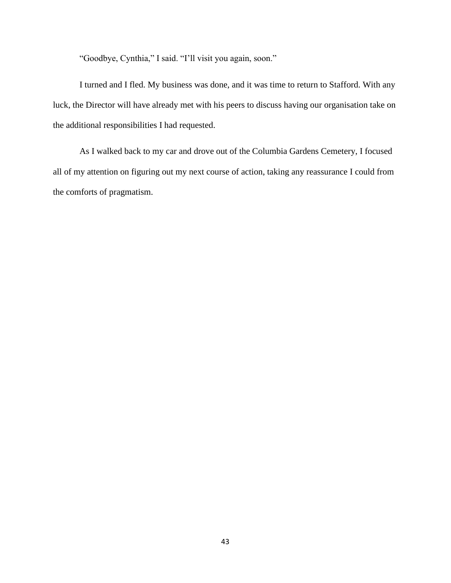"Goodbye, Cynthia," I said. "I'll visit you again, soon."

I turned and I fled. My business was done, and it was time to return to Stafford. With any luck, the Director will have already met with his peers to discuss having our organisation take on the additional responsibilities I had requested.

As I walked back to my car and drove out of the Columbia Gardens Cemetery, I focused all of my attention on figuring out my next course of action, taking any reassurance I could from the comforts of pragmatism.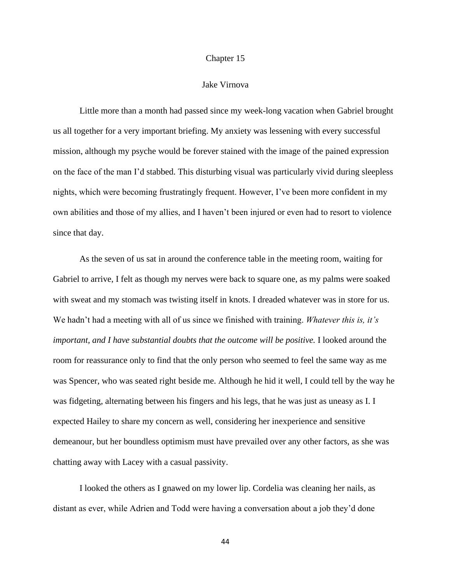## Chapter 15

## Jake Virnova

Little more than a month had passed since my week-long vacation when Gabriel brought us all together for a very important briefing. My anxiety was lessening with every successful mission, although my psyche would be forever stained with the image of the pained expression on the face of the man I'd stabbed. This disturbing visual was particularly vivid during sleepless nights, which were becoming frustratingly frequent. However, I've been more confident in my own abilities and those of my allies, and I haven't been injured or even had to resort to violence since that day.

As the seven of us sat in around the conference table in the meeting room, waiting for Gabriel to arrive, I felt as though my nerves were back to square one, as my palms were soaked with sweat and my stomach was twisting itself in knots. I dreaded whatever was in store for us. We hadn't had a meeting with all of us since we finished with training. *Whatever this is, it's important, and I have substantial doubts that the outcome will be positive.* I looked around the room for reassurance only to find that the only person who seemed to feel the same way as me was Spencer, who was seated right beside me. Although he hid it well, I could tell by the way he was fidgeting, alternating between his fingers and his legs, that he was just as uneasy as I. I expected Hailey to share my concern as well, considering her inexperience and sensitive demeanour, but her boundless optimism must have prevailed over any other factors, as she was chatting away with Lacey with a casual passivity.

I looked the others as I gnawed on my lower lip. Cordelia was cleaning her nails, as distant as ever, while Adrien and Todd were having a conversation about a job they'd done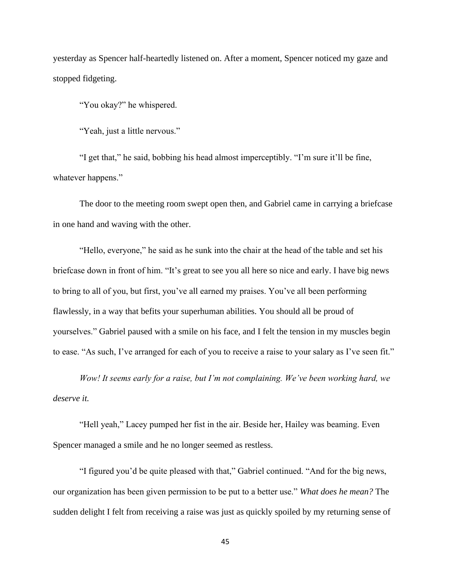yesterday as Spencer half-heartedly listened on. After a moment, Spencer noticed my gaze and stopped fidgeting.

"You okay?" he whispered.

"Yeah, just a little nervous."

"I get that," he said, bobbing his head almost imperceptibly. "I'm sure it'll be fine, whatever happens."

The door to the meeting room swept open then, and Gabriel came in carrying a briefcase in one hand and waving with the other.

"Hello, everyone," he said as he sunk into the chair at the head of the table and set his briefcase down in front of him. "It's great to see you all here so nice and early. I have big news to bring to all of you, but first, you've all earned my praises. You've all been performing flawlessly, in a way that befits your superhuman abilities. You should all be proud of yourselves." Gabriel paused with a smile on his face, and I felt the tension in my muscles begin to ease. "As such, I've arranged for each of you to receive a raise to your salary as I've seen fit."

*Wow! It seems early for a raise, but I'm not complaining. We've been working hard, we deserve it.* 

"Hell yeah," Lacey pumped her fist in the air. Beside her, Hailey was beaming. Even Spencer managed a smile and he no longer seemed as restless.

"I figured you'd be quite pleased with that," Gabriel continued. "And for the big news, our organization has been given permission to be put to a better use." *What does he mean?* The sudden delight I felt from receiving a raise was just as quickly spoiled by my returning sense of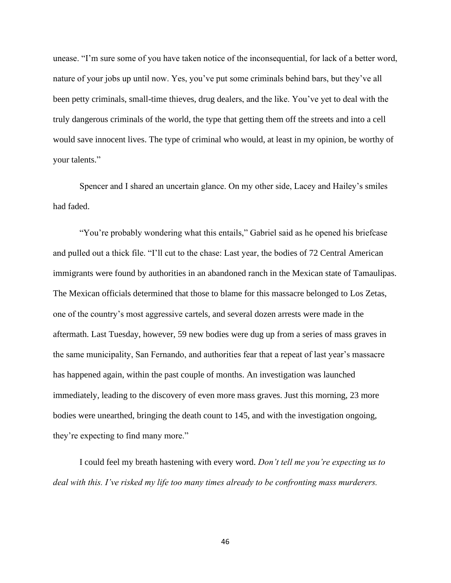unease. "I'm sure some of you have taken notice of the inconsequential, for lack of a better word, nature of your jobs up until now. Yes, you've put some criminals behind bars, but they've all been petty criminals, small-time thieves, drug dealers, and the like. You've yet to deal with the truly dangerous criminals of the world, the type that getting them off the streets and into a cell would save innocent lives. The type of criminal who would, at least in my opinion, be worthy of your talents."

Spencer and I shared an uncertain glance. On my other side, Lacey and Hailey's smiles had faded.

"You're probably wondering what this entails," Gabriel said as he opened his briefcase and pulled out a thick file. "I'll cut to the chase: Last year, the bodies of 72 Central American immigrants were found by authorities in an abandoned ranch in the Mexican state of Tamaulipas. The Mexican officials determined that those to blame for this massacre belonged to Los Zetas, one of the country's most aggressive cartels, and several dozen arrests were made in the aftermath. Last Tuesday, however, 59 new bodies were dug up from a series of mass graves in the same municipality, San Fernando, and authorities fear that a repeat of last year's massacre has happened again, within the past couple of months. An investigation was launched immediately, leading to the discovery of even more mass graves. Just this morning, 23 more bodies were unearthed, bringing the death count to 145, and with the investigation ongoing, they're expecting to find many more."

I could feel my breath hastening with every word. *Don't tell me you're expecting us to deal with this. I've risked my life too many times already to be confronting mass murderers.*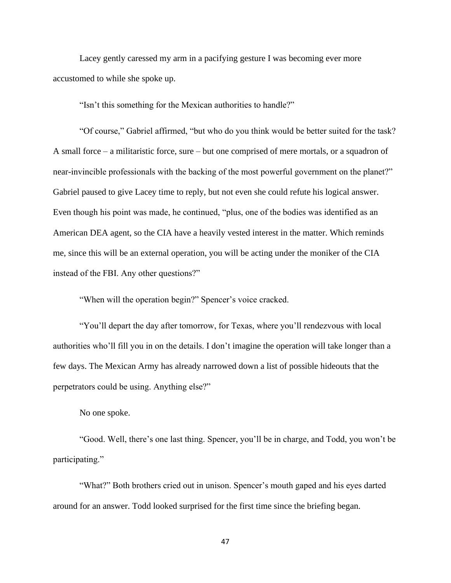Lacey gently caressed my arm in a pacifying gesture I was becoming ever more accustomed to while she spoke up.

"Isn't this something for the Mexican authorities to handle?"

"Of course," Gabriel affirmed, "but who do you think would be better suited for the task? A small force – a militaristic force, sure – but one comprised of mere mortals, or a squadron of near-invincible professionals with the backing of the most powerful government on the planet?" Gabriel paused to give Lacey time to reply, but not even she could refute his logical answer. Even though his point was made, he continued, "plus, one of the bodies was identified as an American DEA agent, so the CIA have a heavily vested interest in the matter. Which reminds me, since this will be an external operation, you will be acting under the moniker of the CIA instead of the FBI. Any other questions?"

"When will the operation begin?" Spencer's voice cracked.

"You'll depart the day after tomorrow, for Texas, where you'll rendezvous with local authorities who'll fill you in on the details. I don't imagine the operation will take longer than a few days. The Mexican Army has already narrowed down a list of possible hideouts that the perpetrators could be using. Anything else?"

No one spoke.

"Good. Well, there's one last thing. Spencer, you'll be in charge, and Todd, you won't be participating."

"What?" Both brothers cried out in unison. Spencer's mouth gaped and his eyes darted around for an answer. Todd looked surprised for the first time since the briefing began.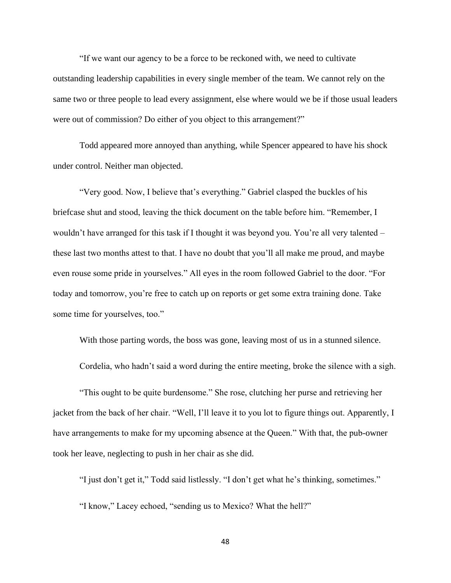"If we want our agency to be a force to be reckoned with, we need to cultivate outstanding leadership capabilities in every single member of the team. We cannot rely on the same two or three people to lead every assignment, else where would we be if those usual leaders were out of commission? Do either of you object to this arrangement?"

Todd appeared more annoyed than anything, while Spencer appeared to have his shock under control. Neither man objected.

"Very good. Now, I believe that's everything." Gabriel clasped the buckles of his briefcase shut and stood, leaving the thick document on the table before him. "Remember, I wouldn't have arranged for this task if I thought it was beyond you. You're all very talented – these last two months attest to that. I have no doubt that you'll all make me proud, and maybe even rouse some pride in yourselves." All eyes in the room followed Gabriel to the door. "For today and tomorrow, you're free to catch up on reports or get some extra training done. Take some time for yourselves, too."

With those parting words, the boss was gone, leaving most of us in a stunned silence.

Cordelia, who hadn't said a word during the entire meeting, broke the silence with a sigh.

"This ought to be quite burdensome." She rose, clutching her purse and retrieving her jacket from the back of her chair. "Well, I'll leave it to you lot to figure things out. Apparently, I have arrangements to make for my upcoming absence at the Queen." With that, the pub-owner took her leave, neglecting to push in her chair as she did.

"I just don't get it," Todd said listlessly. "I don't get what he's thinking, sometimes."

"I know," Lacey echoed, "sending us to Mexico? What the hell?"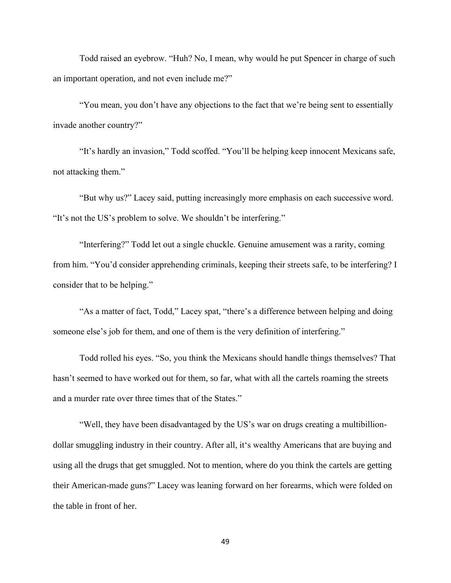Todd raised an eyebrow. "Huh? No, I mean, why would he put Spencer in charge of such an important operation, and not even include me?"

"You mean, you don't have any objections to the fact that we're being sent to essentially invade another country?"

"It's hardly an invasion," Todd scoffed. "You'll be helping keep innocent Mexicans safe, not attacking them."

"But why us?" Lacey said, putting increasingly more emphasis on each successive word. "It's not the US's problem to solve. We shouldn't be interfering."

"Interfering?" Todd let out a single chuckle. Genuine amusement was a rarity, coming from him. "You'd consider apprehending criminals, keeping their streets safe, to be interfering? I consider that to be helping."

"As a matter of fact, Todd," Lacey spat, "there's a difference between helping and doing someone else's job for them, and one of them is the very definition of interfering."

Todd rolled his eyes. "So, you think the Mexicans should handle things themselves? That hasn't seemed to have worked out for them, so far, what with all the cartels roaming the streets and a murder rate over three times that of the States."

"Well, they have been disadvantaged by the US's war on drugs creating a multibilliondollar smuggling industry in their country. After all, it's wealthy Americans that are buying and using all the drugs that get smuggled. Not to mention, where do you think the cartels are getting their American-made guns?" Lacey was leaning forward on her forearms, which were folded on the table in front of her.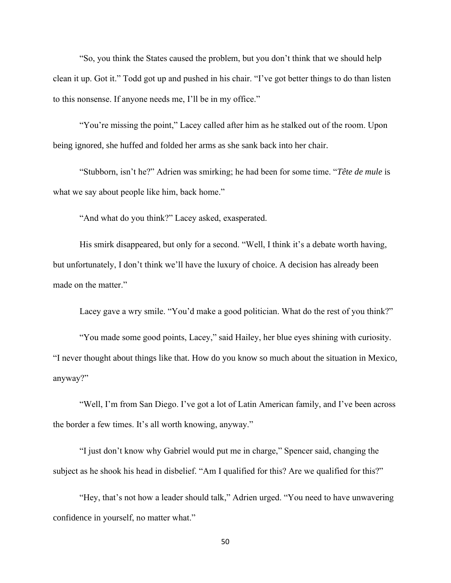"So, you think the States caused the problem, but you don't think that we should help clean it up. Got it." Todd got up and pushed in his chair. "I've got better things to do than listen to this nonsense. If anyone needs me, I'll be in my office."

"You're missing the point," Lacey called after him as he stalked out of the room. Upon being ignored, she huffed and folded her arms as she sank back into her chair.

"Stubborn, isn't he?" Adrien was smirking; he had been for some time. "*Tête de mule* is what we say about people like him, back home."

"And what do you think?" Lacey asked, exasperated.

His smirk disappeared, but only for a second. "Well, I think it's a debate worth having, but unfortunately, I don't think we'll have the luxury of choice. A decision has already been made on the matter."

Lacey gave a wry smile. "You'd make a good politician. What do the rest of you think?"

"You made some good points, Lacey," said Hailey, her blue eyes shining with curiosity. "I never thought about things like that. How do you know so much about the situation in Mexico, anyway?"

"Well, I'm from San Diego. I've got a lot of Latin American family, and I've been across the border a few times. It's all worth knowing, anyway."

"I just don't know why Gabriel would put me in charge," Spencer said, changing the subject as he shook his head in disbelief. "Am I qualified for this? Are we qualified for this?"

"Hey, that's not how a leader should talk," Adrien urged. "You need to have unwavering confidence in yourself, no matter what."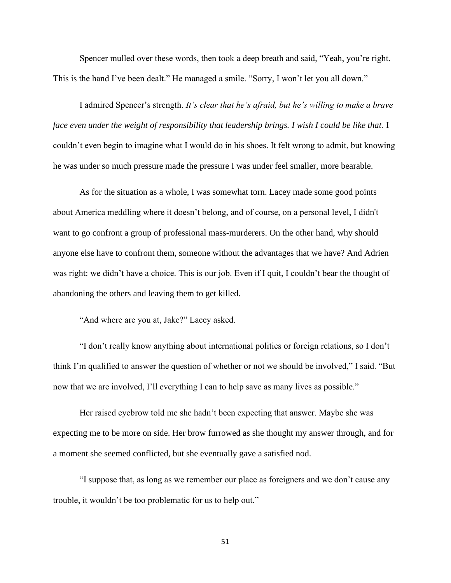Spencer mulled over these words, then took a deep breath and said, "Yeah, you're right. This is the hand I've been dealt." He managed a smile. "Sorry, I won't let you all down."

I admired Spencer's strength. *It's clear that he's afraid, but he's willing to make a brave*  face even under the weight of responsibility that leadership brings. I wish I could be like that. I couldn't even begin to imagine what I would do in his shoes. It felt wrong to admit, but knowing he was under so much pressure made the pressure I was under feel smaller, more bearable.

As for the situation as a whole, I was somewhat torn. Lacey made some good points about America meddling where it doesn't belong, and of course, on a personal level, I didn't want to go confront a group of professional mass-murderers. On the other hand, why should anyone else have to confront them, someone without the advantages that we have? And Adrien was right: we didn't have a choice. This is our job. Even if I quit, I couldn't bear the thought of abandoning the others and leaving them to get killed.

"And where are you at, Jake?" Lacey asked.

"I don't really know anything about international politics or foreign relations, so I don't think I'm qualified to answer the question of whether or not we should be involved," I said. "But now that we are involved, I'll everything I can to help save as many lives as possible."

Her raised eyebrow told me she hadn't been expecting that answer. Maybe she was expecting me to be more on side. Her brow furrowed as she thought my answer through, and for a moment she seemed conflicted, but she eventually gave a satisfied nod.

"I suppose that, as long as we remember our place as foreigners and we don't cause any trouble, it wouldn't be too problematic for us to help out."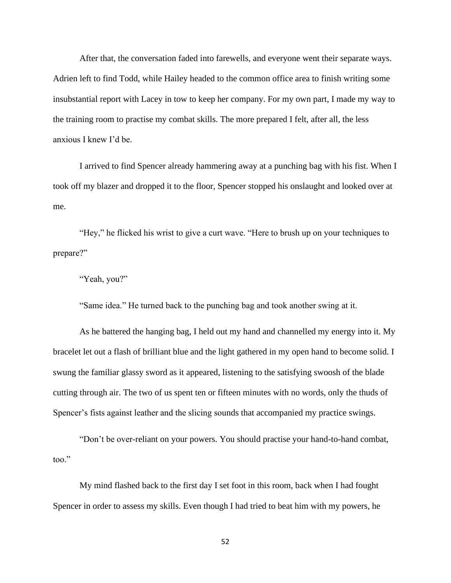After that, the conversation faded into farewells, and everyone went their separate ways. Adrien left to find Todd, while Hailey headed to the common office area to finish writing some insubstantial report with Lacey in tow to keep her company. For my own part, I made my way to the training room to practise my combat skills. The more prepared I felt, after all, the less anxious I knew I'd be.

I arrived to find Spencer already hammering away at a punching bag with his fist. When I took off my blazer and dropped it to the floor, Spencer stopped his onslaught and looked over at me.

"Hey," he flicked his wrist to give a curt wave. "Here to brush up on your techniques to prepare?"

"Yeah, you?"

"Same idea." He turned back to the punching bag and took another swing at it.

As he battered the hanging bag, I held out my hand and channelled my energy into it. My bracelet let out a flash of brilliant blue and the light gathered in my open hand to become solid. I swung the familiar glassy sword as it appeared, listening to the satisfying swoosh of the blade cutting through air. The two of us spent ten or fifteen minutes with no words, only the thuds of Spencer's fists against leather and the slicing sounds that accompanied my practice swings.

"Don't be over-reliant on your powers. You should practise your hand-to-hand combat, too."

My mind flashed back to the first day I set foot in this room, back when I had fought Spencer in order to assess my skills. Even though I had tried to beat him with my powers, he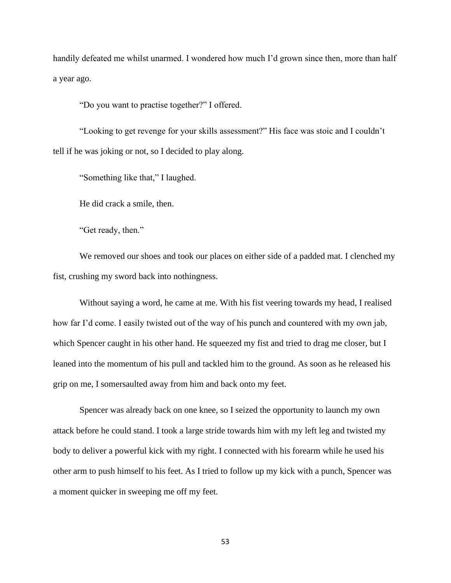handily defeated me whilst unarmed. I wondered how much I'd grown since then, more than half a year ago.

"Do you want to practise together?" I offered.

"Looking to get revenge for your skills assessment?" His face was stoic and I couldn't tell if he was joking or not, so I decided to play along.

"Something like that," I laughed.

He did crack a smile, then.

"Get ready, then."

We removed our shoes and took our places on either side of a padded mat. I clenched my fist, crushing my sword back into nothingness.

Without saying a word, he came at me. With his fist veering towards my head, I realised how far I'd come. I easily twisted out of the way of his punch and countered with my own jab, which Spencer caught in his other hand. He squeezed my fist and tried to drag me closer, but I leaned into the momentum of his pull and tackled him to the ground. As soon as he released his grip on me, I somersaulted away from him and back onto my feet.

Spencer was already back on one knee, so I seized the opportunity to launch my own attack before he could stand. I took a large stride towards him with my left leg and twisted my body to deliver a powerful kick with my right. I connected with his forearm while he used his other arm to push himself to his feet. As I tried to follow up my kick with a punch, Spencer was a moment quicker in sweeping me off my feet.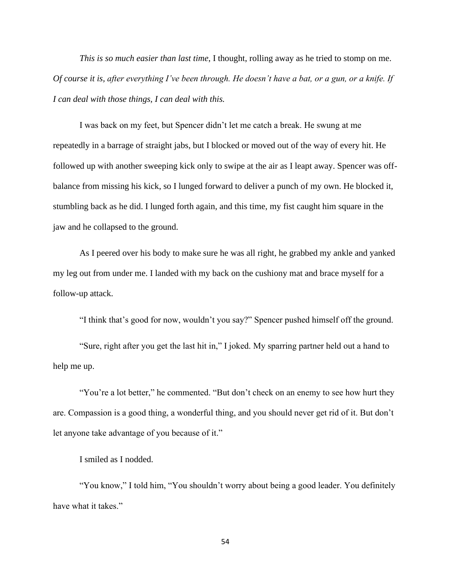*This is so much easier than last time*, I thought, rolling away as he tried to stomp on me. *Of course it is, after everything I've been through. He doesn't have a bat, or a gun, or a knife. If I can deal with those things, I can deal with this.*

I was back on my feet, but Spencer didn't let me catch a break. He swung at me repeatedly in a barrage of straight jabs, but I blocked or moved out of the way of every hit. He followed up with another sweeping kick only to swipe at the air as I leapt away. Spencer was offbalance from missing his kick, so I lunged forward to deliver a punch of my own. He blocked it, stumbling back as he did. I lunged forth again, and this time, my fist caught him square in the jaw and he collapsed to the ground.

As I peered over his body to make sure he was all right, he grabbed my ankle and yanked my leg out from under me. I landed with my back on the cushiony mat and brace myself for a follow-up attack.

"I think that's good for now, wouldn't you say?" Spencer pushed himself off the ground.

"Sure, right after you get the last hit in," I joked. My sparring partner held out a hand to help me up.

"You're a lot better," he commented. "But don't check on an enemy to see how hurt they are. Compassion is a good thing, a wonderful thing, and you should never get rid of it. But don't let anyone take advantage of you because of it."

I smiled as I nodded.

"You know," I told him, "You shouldn't worry about being a good leader. You definitely have what it takes."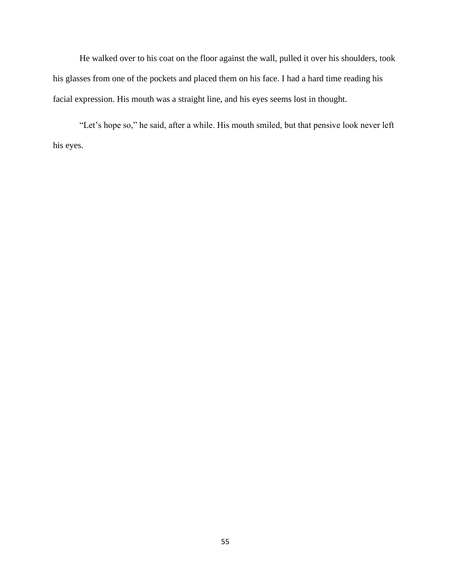He walked over to his coat on the floor against the wall, pulled it over his shoulders, took his glasses from one of the pockets and placed them on his face. I had a hard time reading his facial expression. His mouth was a straight line, and his eyes seems lost in thought.

"Let's hope so," he said, after a while. His mouth smiled, but that pensive look never left his eyes.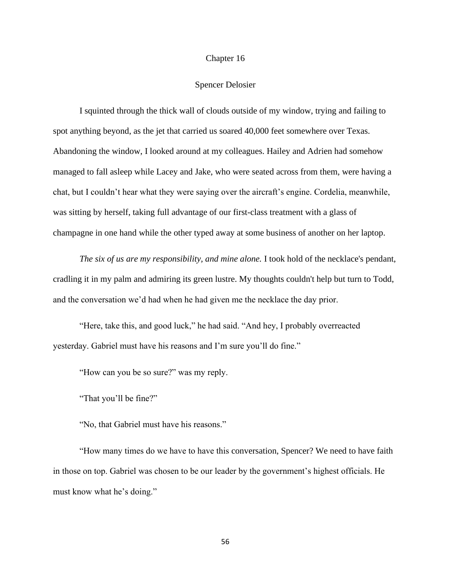## Chapter 16

## Spencer Delosier

I squinted through the thick wall of clouds outside of my window, trying and failing to spot anything beyond, as the jet that carried us soared 40,000 feet somewhere over Texas. Abandoning the window, I looked around at my colleagues. Hailey and Adrien had somehow managed to fall asleep while Lacey and Jake, who were seated across from them, were having a chat, but I couldn't hear what they were saying over the aircraft's engine. Cordelia, meanwhile, was sitting by herself, taking full advantage of our first-class treatment with a glass of champagne in one hand while the other typed away at some business of another on her laptop.

*The six of us are my responsibility, and mine alone.* I took hold of the necklace's pendant, cradling it in my palm and admiring its green lustre. My thoughts couldn't help but turn to Todd, and the conversation we'd had when he had given me the necklace the day prior.

"Here, take this, and good luck," he had said. "And hey, I probably overreacted yesterday. Gabriel must have his reasons and I'm sure you'll do fine."

"How can you be so sure?" was my reply.

"That you'll be fine?"

"No, that Gabriel must have his reasons."

"How many times do we have to have this conversation, Spencer? We need to have faith in those on top. Gabriel was chosen to be our leader by the government's highest officials. He must know what he's doing."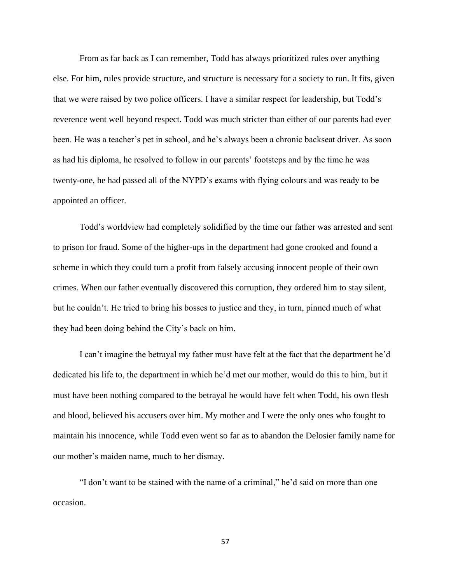From as far back as I can remember, Todd has always prioritized rules over anything else. For him, rules provide structure, and structure is necessary for a society to run. It fits, given that we were raised by two police officers. I have a similar respect for leadership, but Todd's reverence went well beyond respect. Todd was much stricter than either of our parents had ever been. He was a teacher's pet in school, and he's always been a chronic backseat driver. As soon as had his diploma, he resolved to follow in our parents' footsteps and by the time he was twenty-one, he had passed all of the NYPD's exams with flying colours and was ready to be appointed an officer.

Todd's worldview had completely solidified by the time our father was arrested and sent to prison for fraud. Some of the higher-ups in the department had gone crooked and found a scheme in which they could turn a profit from falsely accusing innocent people of their own crimes. When our father eventually discovered this corruption, they ordered him to stay silent, but he couldn't. He tried to bring his bosses to justice and they, in turn, pinned much of what they had been doing behind the City's back on him.

I can't imagine the betrayal my father must have felt at the fact that the department he'd dedicated his life to, the department in which he'd met our mother, would do this to him, but it must have been nothing compared to the betrayal he would have felt when Todd, his own flesh and blood, believed his accusers over him. My mother and I were the only ones who fought to maintain his innocence, while Todd even went so far as to abandon the Delosier family name for our mother's maiden name, much to her dismay.

"I don't want to be stained with the name of a criminal," he'd said on more than one occasion.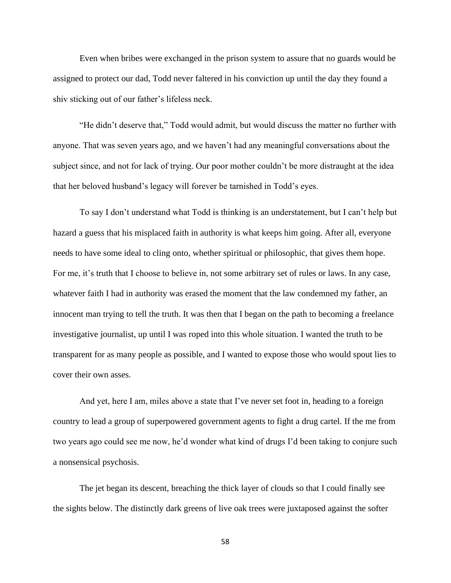Even when bribes were exchanged in the prison system to assure that no guards would be assigned to protect our dad, Todd never faltered in his conviction up until the day they found a shiv sticking out of our father's lifeless neck.

"He didn't deserve that," Todd would admit, but would discuss the matter no further with anyone. That was seven years ago, and we haven't had any meaningful conversations about the subject since, and not for lack of trying. Our poor mother couldn't be more distraught at the idea that her beloved husband's legacy will forever be tarnished in Todd's eyes.

To say I don't understand what Todd is thinking is an understatement, but I can't help but hazard a guess that his misplaced faith in authority is what keeps him going. After all, everyone needs to have some ideal to cling onto, whether spiritual or philosophic, that gives them hope. For me, it's truth that I choose to believe in, not some arbitrary set of rules or laws. In any case, whatever faith I had in authority was erased the moment that the law condemned my father, an innocent man trying to tell the truth. It was then that I began on the path to becoming a freelance investigative journalist, up until I was roped into this whole situation. I wanted the truth to be transparent for as many people as possible, and I wanted to expose those who would spout lies to cover their own asses.

And yet, here I am, miles above a state that I've never set foot in, heading to a foreign country to lead a group of superpowered government agents to fight a drug cartel. If the me from two years ago could see me now, he'd wonder what kind of drugs I'd been taking to conjure such a nonsensical psychosis.

The jet began its descent, breaching the thick layer of clouds so that I could finally see the sights below. The distinctly dark greens of live oak trees were juxtaposed against the softer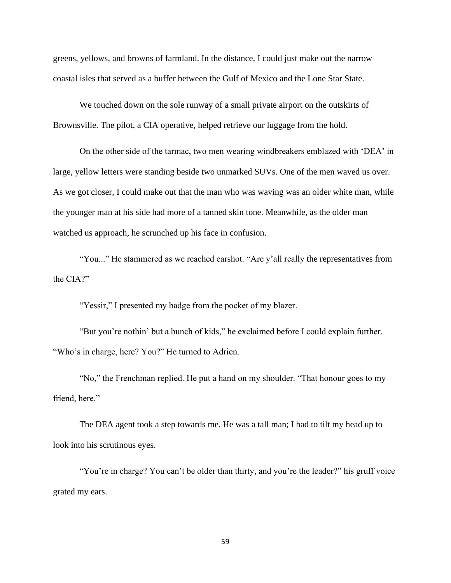greens, yellows, and browns of farmland. In the distance, I could just make out the narrow coastal isles that served as a buffer between the Gulf of Mexico and the Lone Star State.

We touched down on the sole runway of a small private airport on the outskirts of Brownsville. The pilot, a CIA operative, helped retrieve our luggage from the hold.

On the other side of the tarmac, two men wearing windbreakers emblazed with 'DEA' in large, yellow letters were standing beside two unmarked SUVs. One of the men waved us over. As we got closer, I could make out that the man who was waving was an older white man, while the younger man at his side had more of a tanned skin tone. Meanwhile, as the older man watched us approach, he scrunched up his face in confusion.

"You..." He stammered as we reached earshot. "Are y'all really the representatives from the CIA?"

"Yessir," I presented my badge from the pocket of my blazer.

"But you're nothin' but a bunch of kids," he exclaimed before I could explain further. "Who's in charge, here? You?" He turned to Adrien.

"No," the Frenchman replied. He put a hand on my shoulder. "That honour goes to my friend, here."

The DEA agent took a step towards me. He was a tall man; I had to tilt my head up to look into his scrutinous eyes.

"You're in charge? You can't be older than thirty, and you're the leader?" his gruff voice grated my ears.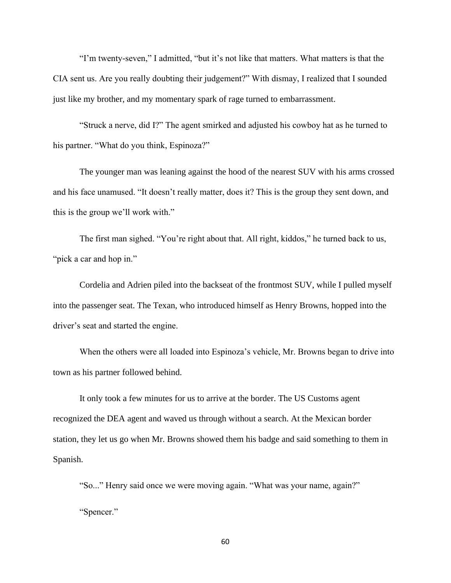"I'm twenty-seven," I admitted, "but it's not like that matters. What matters is that the CIA sent us. Are you really doubting their judgement?" With dismay, I realized that I sounded just like my brother, and my momentary spark of rage turned to embarrassment.

"Struck a nerve, did I?" The agent smirked and adjusted his cowboy hat as he turned to his partner. "What do you think, Espinoza?"

The younger man was leaning against the hood of the nearest SUV with his arms crossed and his face unamused. "It doesn't really matter, does it? This is the group they sent down, and this is the group we'll work with."

The first man sighed. "You're right about that. All right, kiddos," he turned back to us, "pick a car and hop in."

Cordelia and Adrien piled into the backseat of the frontmost SUV, while I pulled myself into the passenger seat. The Texan, who introduced himself as Henry Browns, hopped into the driver's seat and started the engine.

When the others were all loaded into Espinoza's vehicle, Mr. Browns began to drive into town as his partner followed behind.

It only took a few minutes for us to arrive at the border. The US Customs agent recognized the DEA agent and waved us through without a search. At the Mexican border station, they let us go when Mr. Browns showed them his badge and said something to them in Spanish.

"So..." Henry said once we were moving again. "What was your name, again?" "Spencer."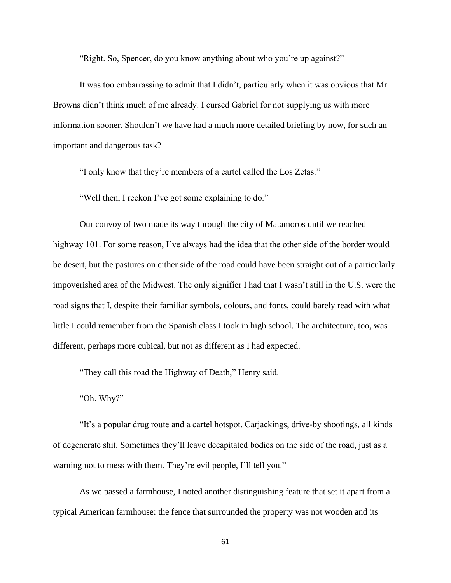"Right. So, Spencer, do you know anything about who you're up against?"

It was too embarrassing to admit that I didn't, particularly when it was obvious that Mr. Browns didn't think much of me already. I cursed Gabriel for not supplying us with more information sooner. Shouldn't we have had a much more detailed briefing by now, for such an important and dangerous task?

"I only know that they're members of a cartel called the Los Zetas."

"Well then, I reckon I've got some explaining to do."

Our convoy of two made its way through the city of Matamoros until we reached highway 101. For some reason, I've always had the idea that the other side of the border would be desert, but the pastures on either side of the road could have been straight out of a particularly impoverished area of the Midwest. The only signifier I had that I wasn't still in the U.S. were the road signs that I, despite their familiar symbols, colours, and fonts, could barely read with what little I could remember from the Spanish class I took in high school. The architecture, too, was different, perhaps more cubical, but not as different as I had expected.

"They call this road the Highway of Death," Henry said.

"Oh. Why?"

"It's a popular drug route and a cartel hotspot. Carjackings, drive-by shootings, all kinds of degenerate shit. Sometimes they'll leave decapitated bodies on the side of the road, just as a warning not to mess with them. They're evil people, I'll tell you."

As we passed a farmhouse, I noted another distinguishing feature that set it apart from a typical American farmhouse: the fence that surrounded the property was not wooden and its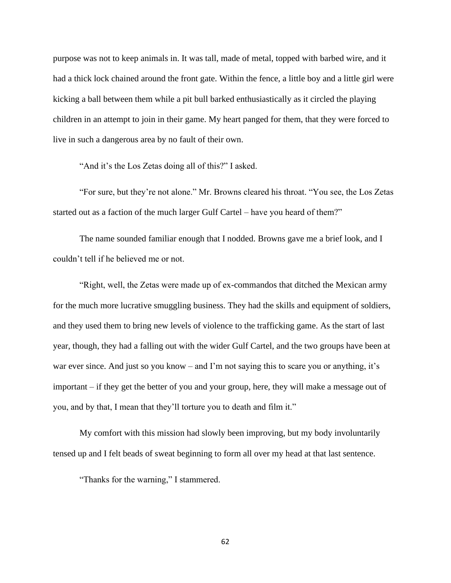purpose was not to keep animals in. It was tall, made of metal, topped with barbed wire, and it had a thick lock chained around the front gate. Within the fence, a little boy and a little girl were kicking a ball between them while a pit bull barked enthusiastically as it circled the playing children in an attempt to join in their game. My heart panged for them, that they were forced to live in such a dangerous area by no fault of their own.

"And it's the Los Zetas doing all of this?" I asked.

"For sure, but they're not alone." Mr. Browns cleared his throat. "You see, the Los Zetas started out as a faction of the much larger Gulf Cartel – have you heard of them?"

The name sounded familiar enough that I nodded. Browns gave me a brief look, and I couldn't tell if he believed me or not.

"Right, well, the Zetas were made up of ex-commandos that ditched the Mexican army for the much more lucrative smuggling business. They had the skills and equipment of soldiers, and they used them to bring new levels of violence to the trafficking game. As the start of last year, though, they had a falling out with the wider Gulf Cartel, and the two groups have been at war ever since. And just so you know – and I'm not saying this to scare you or anything, it's important – if they get the better of you and your group, here, they will make a message out of you, and by that, I mean that they'll torture you to death and film it."

My comfort with this mission had slowly been improving, but my body involuntarily tensed up and I felt beads of sweat beginning to form all over my head at that last sentence.

"Thanks for the warning," I stammered.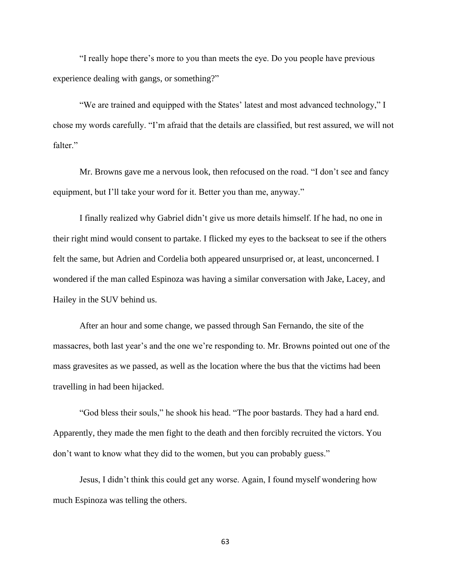"I really hope there's more to you than meets the eye. Do you people have previous experience dealing with gangs, or something?"

"We are trained and equipped with the States' latest and most advanced technology," I chose my words carefully. "I'm afraid that the details are classified, but rest assured, we will not falter."

Mr. Browns gave me a nervous look, then refocused on the road. "I don't see and fancy equipment, but I'll take your word for it. Better you than me, anyway."

I finally realized why Gabriel didn't give us more details himself. If he had, no one in their right mind would consent to partake. I flicked my eyes to the backseat to see if the others felt the same, but Adrien and Cordelia both appeared unsurprised or, at least, unconcerned. I wondered if the man called Espinoza was having a similar conversation with Jake, Lacey, and Hailey in the SUV behind us.

After an hour and some change, we passed through San Fernando, the site of the massacres, both last year's and the one we're responding to. Mr. Browns pointed out one of the mass gravesites as we passed, as well as the location where the bus that the victims had been travelling in had been hijacked.

"God bless their souls," he shook his head. "The poor bastards. They had a hard end. Apparently, they made the men fight to the death and then forcibly recruited the victors. You don't want to know what they did to the women, but you can probably guess."

Jesus, I didn't think this could get any worse. Again, I found myself wondering how much Espinoza was telling the others.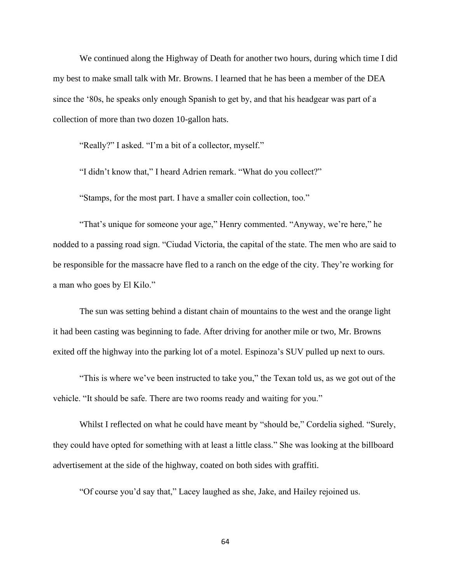We continued along the Highway of Death for another two hours, during which time I did my best to make small talk with Mr. Browns. I learned that he has been a member of the DEA since the '80s, he speaks only enough Spanish to get by, and that his headgear was part of a collection of more than two dozen 10-gallon hats.

"Really?" I asked. "I'm a bit of a collector, myself."

"I didn't know that," I heard Adrien remark. "What do you collect?"

"Stamps, for the most part. I have a smaller coin collection, too."

"That's unique for someone your age," Henry commented. "Anyway, we're here," he nodded to a passing road sign. "Ciudad Victoria, the capital of the state. The men who are said to be responsible for the massacre have fled to a ranch on the edge of the city. They're working for a man who goes by El Kilo."

The sun was setting behind a distant chain of mountains to the west and the orange light it had been casting was beginning to fade. After driving for another mile or two, Mr. Browns exited off the highway into the parking lot of a motel. Espinoza's SUV pulled up next to ours.

"This is where we've been instructed to take you," the Texan told us, as we got out of the vehicle. "It should be safe. There are two rooms ready and waiting for you."

Whilst I reflected on what he could have meant by "should be," Cordelia sighed. "Surely, they could have opted for something with at least a little class." She was looking at the billboard advertisement at the side of the highway, coated on both sides with graffiti.

"Of course you'd say that," Lacey laughed as she, Jake, and Hailey rejoined us.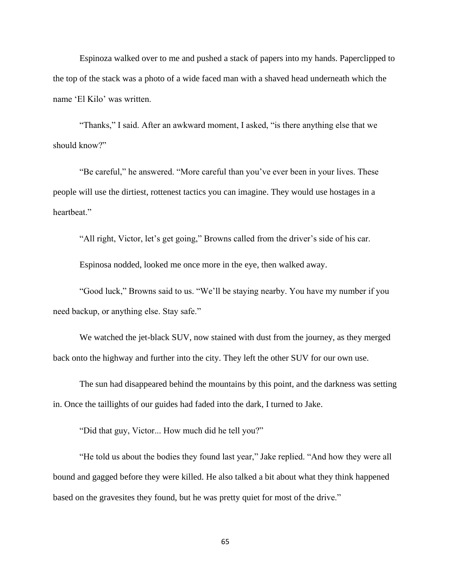Espinoza walked over to me and pushed a stack of papers into my hands. Paperclipped to the top of the stack was a photo of a wide faced man with a shaved head underneath which the name 'El Kilo' was written.

"Thanks," I said. After an awkward moment, I asked, "is there anything else that we should know?"

"Be careful," he answered. "More careful than you've ever been in your lives. These people will use the dirtiest, rottenest tactics you can imagine. They would use hostages in a heartbeat."

"All right, Victor, let's get going," Browns called from the driver's side of his car.

Espinosa nodded, looked me once more in the eye, then walked away.

"Good luck," Browns said to us. "We'll be staying nearby. You have my number if you need backup, or anything else. Stay safe."

We watched the jet-black SUV, now stained with dust from the journey, as they merged back onto the highway and further into the city. They left the other SUV for our own use.

The sun had disappeared behind the mountains by this point, and the darkness was setting in. Once the taillights of our guides had faded into the dark, I turned to Jake.

"Did that guy, Victor... How much did he tell you?"

"He told us about the bodies they found last year," Jake replied. "And how they were all bound and gagged before they were killed. He also talked a bit about what they think happened based on the gravesites they found, but he was pretty quiet for most of the drive."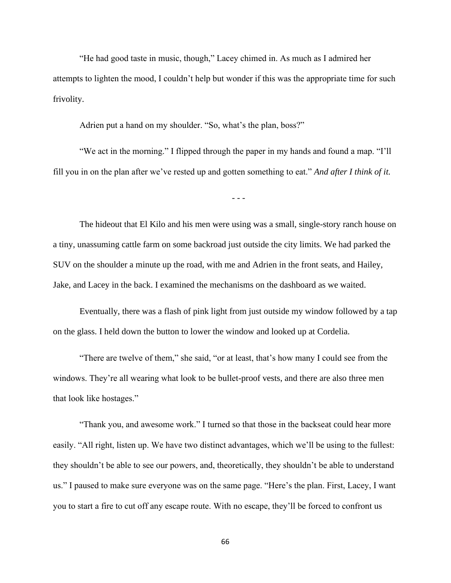"He had good taste in music, though," Lacey chimed in. As much as I admired her attempts to lighten the mood, I couldn't help but wonder if this was the appropriate time for such frivolity.

Adrien put a hand on my shoulder. "So, what's the plan, boss?"

"We act in the morning." I flipped through the paper in my hands and found a map. "I'll fill you in on the plan after we've rested up and gotten something to eat." *And after I think of it.*

- - -

The hideout that El Kilo and his men were using was a small, single-story ranch house on a tiny, unassuming cattle farm on some backroad just outside the city limits. We had parked the SUV on the shoulder a minute up the road, with me and Adrien in the front seats, and Hailey, Jake, and Lacey in the back. I examined the mechanisms on the dashboard as we waited.

Eventually, there was a flash of pink light from just outside my window followed by a tap on the glass. I held down the button to lower the window and looked up at Cordelia.

"There are twelve of them," she said, "or at least, that's how many I could see from the windows. They're all wearing what look to be bullet-proof vests, and there are also three men that look like hostages."

"Thank you, and awesome work." I turned so that those in the backseat could hear more easily. "All right, listen up. We have two distinct advantages, which we'll be using to the fullest: they shouldn't be able to see our powers, and, theoretically, they shouldn't be able to understand us." I paused to make sure everyone was on the same page. "Here's the plan. First, Lacey, I want you to start a fire to cut off any escape route. With no escape, they'll be forced to confront us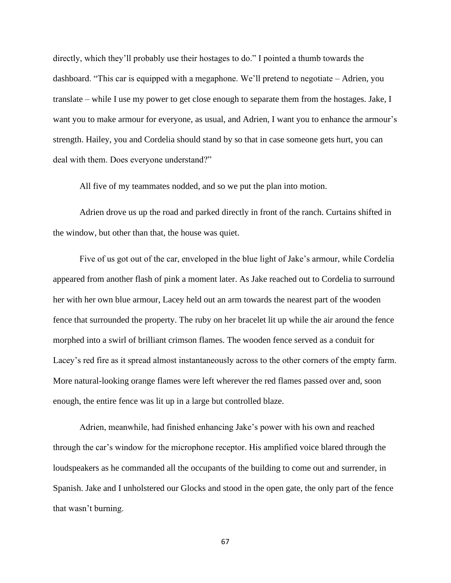directly, which they'll probably use their hostages to do." I pointed a thumb towards the dashboard. "This car is equipped with a megaphone. We'll pretend to negotiate – Adrien, you translate – while I use my power to get close enough to separate them from the hostages. Jake, I want you to make armour for everyone, as usual, and Adrien, I want you to enhance the armour's strength. Hailey, you and Cordelia should stand by so that in case someone gets hurt, you can deal with them. Does everyone understand?"

All five of my teammates nodded, and so we put the plan into motion.

Adrien drove us up the road and parked directly in front of the ranch. Curtains shifted in the window, but other than that, the house was quiet.

Five of us got out of the car, enveloped in the blue light of Jake's armour, while Cordelia appeared from another flash of pink a moment later. As Jake reached out to Cordelia to surround her with her own blue armour, Lacey held out an arm towards the nearest part of the wooden fence that surrounded the property. The ruby on her bracelet lit up while the air around the fence morphed into a swirl of brilliant crimson flames. The wooden fence served as a conduit for Lacey's red fire as it spread almost instantaneously across to the other corners of the empty farm. More natural-looking orange flames were left wherever the red flames passed over and, soon enough, the entire fence was lit up in a large but controlled blaze.

Adrien, meanwhile, had finished enhancing Jake's power with his own and reached through the car's window for the microphone receptor. His amplified voice blared through the loudspeakers as he commanded all the occupants of the building to come out and surrender, in Spanish. Jake and I unholstered our Glocks and stood in the open gate, the only part of the fence that wasn't burning.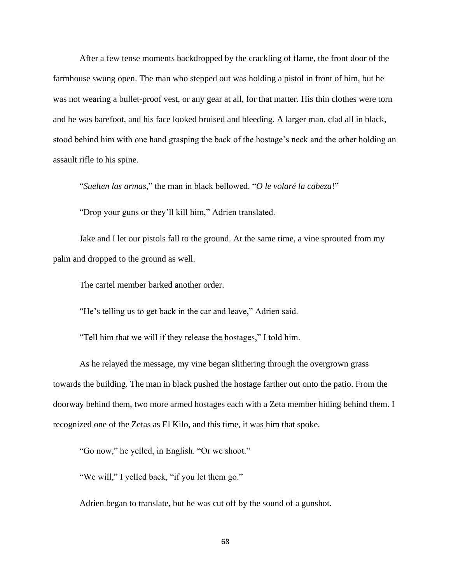After a few tense moments backdropped by the crackling of flame, the front door of the farmhouse swung open. The man who stepped out was holding a pistol in front of him, but he was not wearing a bullet-proof vest, or any gear at all, for that matter. His thin clothes were torn and he was barefoot, and his face looked bruised and bleeding. A larger man, clad all in black, stood behind him with one hand grasping the back of the hostage's neck and the other holding an assault rifle to his spine.

"*Suelten las armas*," the man in black bellowed. "*O le volaré la cabeza*!"

"Drop your guns or they'll kill him," Adrien translated.

Jake and I let our pistols fall to the ground. At the same time, a vine sprouted from my palm and dropped to the ground as well.

The cartel member barked another order.

"He's telling us to get back in the car and leave," Adrien said.

"Tell him that we will if they release the hostages," I told him.

As he relayed the message, my vine began slithering through the overgrown grass towards the building. The man in black pushed the hostage farther out onto the patio. From the doorway behind them, two more armed hostages each with a Zeta member hiding behind them. I recognized one of the Zetas as El Kilo, and this time, it was him that spoke.

"Go now," he yelled, in English. "Or we shoot."

"We will," I yelled back, "if you let them go."

Adrien began to translate, but he was cut off by the sound of a gunshot.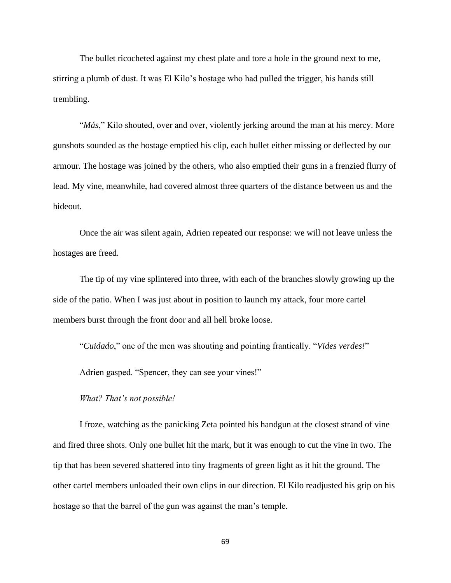The bullet ricocheted against my chest plate and tore a hole in the ground next to me, stirring a plumb of dust. It was El Kilo's hostage who had pulled the trigger, his hands still trembling.

"*Más*," Kilo shouted, over and over, violently jerking around the man at his mercy. More gunshots sounded as the hostage emptied his clip, each bullet either missing or deflected by our armour. The hostage was joined by the others, who also emptied their guns in a frenzied flurry of lead. My vine, meanwhile, had covered almost three quarters of the distance between us and the hideout.

Once the air was silent again, Adrien repeated our response: we will not leave unless the hostages are freed.

The tip of my vine splintered into three, with each of the branches slowly growing up the side of the patio. When I was just about in position to launch my attack, four more cartel members burst through the front door and all hell broke loose.

"*Cuidado*," one of the men was shouting and pointing frantically. "*Vides verdes!*"

Adrien gasped. "Spencer, they can see your vines!"

*What? That's not possible!* 

I froze, watching as the panicking Zeta pointed his handgun at the closest strand of vine and fired three shots. Only one bullet hit the mark, but it was enough to cut the vine in two. The tip that has been severed shattered into tiny fragments of green light as it hit the ground. The other cartel members unloaded their own clips in our direction. El Kilo readjusted his grip on his hostage so that the barrel of the gun was against the man's temple.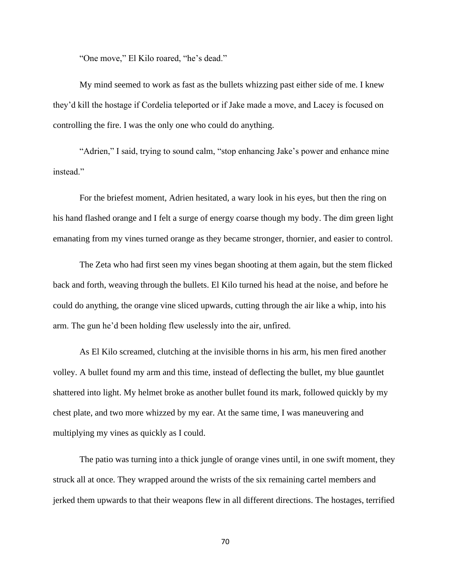"One move," El Kilo roared, "he's dead."

My mind seemed to work as fast as the bullets whizzing past either side of me. I knew they'd kill the hostage if Cordelia teleported or if Jake made a move, and Lacey is focused on controlling the fire. I was the only one who could do anything.

"Adrien," I said, trying to sound calm, "stop enhancing Jake's power and enhance mine instead."

For the briefest moment, Adrien hesitated, a wary look in his eyes, but then the ring on his hand flashed orange and I felt a surge of energy coarse though my body. The dim green light emanating from my vines turned orange as they became stronger, thornier, and easier to control.

The Zeta who had first seen my vines began shooting at them again, but the stem flicked back and forth, weaving through the bullets. El Kilo turned his head at the noise, and before he could do anything, the orange vine sliced upwards, cutting through the air like a whip, into his arm. The gun he'd been holding flew uselessly into the air, unfired.

As El Kilo screamed, clutching at the invisible thorns in his arm, his men fired another volley. A bullet found my arm and this time, instead of deflecting the bullet, my blue gauntlet shattered into light. My helmet broke as another bullet found its mark, followed quickly by my chest plate, and two more whizzed by my ear. At the same time, I was maneuvering and multiplying my vines as quickly as I could.

The patio was turning into a thick jungle of orange vines until, in one swift moment, they struck all at once. They wrapped around the wrists of the six remaining cartel members and jerked them upwards to that their weapons flew in all different directions. The hostages, terrified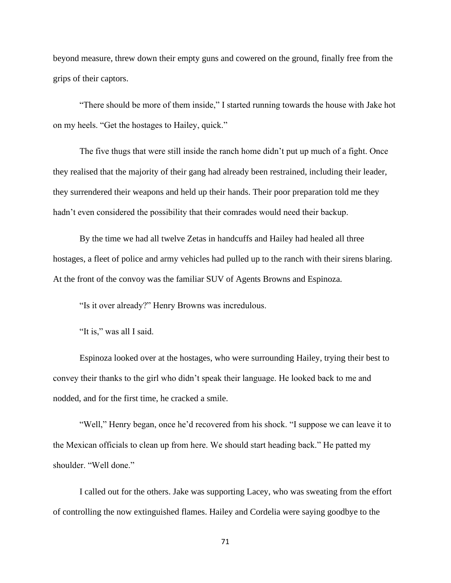beyond measure, threw down their empty guns and cowered on the ground, finally free from the grips of their captors.

"There should be more of them inside," I started running towards the house with Jake hot on my heels. "Get the hostages to Hailey, quick."

The five thugs that were still inside the ranch home didn't put up much of a fight. Once they realised that the majority of their gang had already been restrained, including their leader, they surrendered their weapons and held up their hands. Their poor preparation told me they hadn't even considered the possibility that their comrades would need their backup.

By the time we had all twelve Zetas in handcuffs and Hailey had healed all three hostages, a fleet of police and army vehicles had pulled up to the ranch with their sirens blaring. At the front of the convoy was the familiar SUV of Agents Browns and Espinoza.

"Is it over already?" Henry Browns was incredulous.

"It is," was all I said.

Espinoza looked over at the hostages, who were surrounding Hailey, trying their best to convey their thanks to the girl who didn't speak their language. He looked back to me and nodded, and for the first time, he cracked a smile.

"Well," Henry began, once he'd recovered from his shock. "I suppose we can leave it to the Mexican officials to clean up from here. We should start heading back." He patted my shoulder. "Well done."

I called out for the others. Jake was supporting Lacey, who was sweating from the effort of controlling the now extinguished flames. Hailey and Cordelia were saying goodbye to the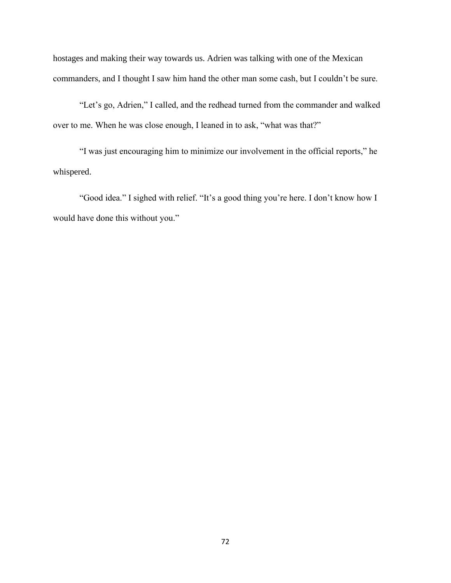hostages and making their way towards us. Adrien was talking with one of the Mexican commanders, and I thought I saw him hand the other man some cash, but I couldn't be sure.

"Let's go, Adrien," I called, and the redhead turned from the commander and walked over to me. When he was close enough, I leaned in to ask, "what was that?"

"I was just encouraging him to minimize our involvement in the official reports," he whispered.

"Good idea." I sighed with relief. "It's a good thing you're here. I don't know how I would have done this without you."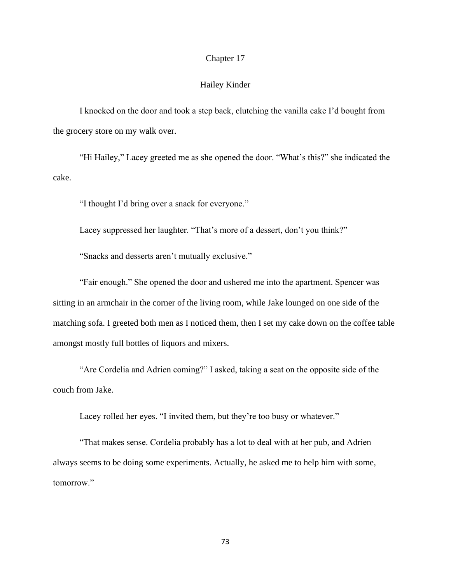## Chapter 17

## Hailey Kinder

I knocked on the door and took a step back, clutching the vanilla cake I'd bought from the grocery store on my walk over.

"Hi Hailey," Lacey greeted me as she opened the door. "What's this?" she indicated the cake.

"I thought I'd bring over a snack for everyone."

Lacey suppressed her laughter. "That's more of a dessert, don't you think?"

"Snacks and desserts aren't mutually exclusive."

"Fair enough." She opened the door and ushered me into the apartment. Spencer was sitting in an armchair in the corner of the living room, while Jake lounged on one side of the matching sofa. I greeted both men as I noticed them, then I set my cake down on the coffee table amongst mostly full bottles of liquors and mixers.

"Are Cordelia and Adrien coming?" I asked, taking a seat on the opposite side of the couch from Jake.

Lacey rolled her eyes. "I invited them, but they're too busy or whatever."

"That makes sense. Cordelia probably has a lot to deal with at her pub, and Adrien always seems to be doing some experiments. Actually, he asked me to help him with some, tomorrow."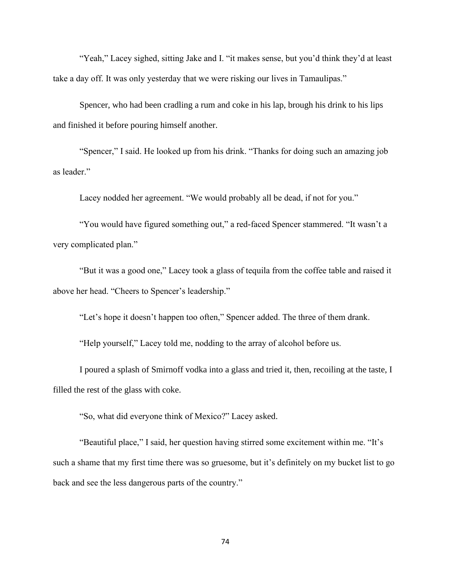"Yeah," Lacey sighed, sitting Jake and I. "it makes sense, but you'd think they'd at least take a day off. It was only yesterday that we were risking our lives in Tamaulipas."

Spencer, who had been cradling a rum and coke in his lap, brough his drink to his lips and finished it before pouring himself another.

"Spencer," I said. He looked up from his drink. "Thanks for doing such an amazing job as leader."

Lacey nodded her agreement. "We would probably all be dead, if not for you."

"You would have figured something out," a red-faced Spencer stammered. "It wasn't a very complicated plan."

"But it was a good one," Lacey took a glass of tequila from the coffee table and raised it above her head. "Cheers to Spencer's leadership."

"Let's hope it doesn't happen too often," Spencer added. The three of them drank.

"Help yourself," Lacey told me, nodding to the array of alcohol before us.

I poured a splash of Smirnoff vodka into a glass and tried it, then, recoiling at the taste, I filled the rest of the glass with coke.

"So, what did everyone think of Mexico?" Lacey asked.

"Beautiful place," I said, her question having stirred some excitement within me. "It's such a shame that my first time there was so gruesome, but it's definitely on my bucket list to go back and see the less dangerous parts of the country."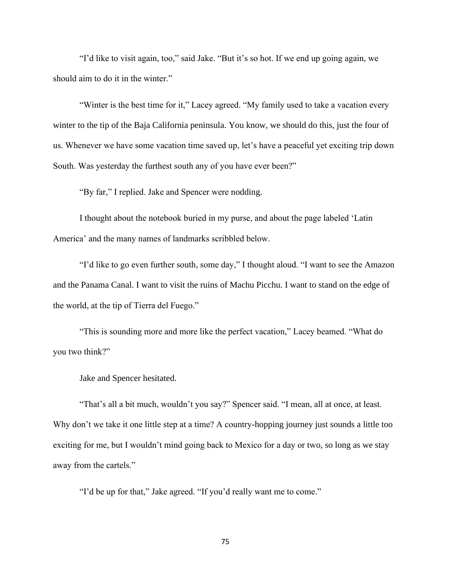"I'd like to visit again, too," said Jake. "But it's so hot. If we end up going again, we should aim to do it in the winter."

"Winter is the best time for it," Lacey agreed. "My family used to take a vacation every winter to the tip of the Baja California peninsula. You know, we should do this, just the four of us. Whenever we have some vacation time saved up, let's have a peaceful yet exciting trip down South. Was yesterday the furthest south any of you have ever been?"

"By far," I replied. Jake and Spencer were nodding.

I thought about the notebook buried in my purse, and about the page labeled 'Latin America' and the many names of landmarks scribbled below.

"I'd like to go even further south, some day," I thought aloud. "I want to see the Amazon and the Panama Canal. I want to visit the ruins of Machu Picchu. I want to stand on the edge of the world, at the tip of Tierra del Fuego."

"This is sounding more and more like the perfect vacation," Lacey beamed. "What do you two think?"

Jake and Spencer hesitated.

"That's all a bit much, wouldn't you say?" Spencer said. "I mean, all at once, at least. Why don't we take it one little step at a time? A country-hopping journey just sounds a little too exciting for me, but I wouldn't mind going back to Mexico for a day or two, so long as we stay away from the cartels."

"I'd be up for that," Jake agreed. "If you'd really want me to come."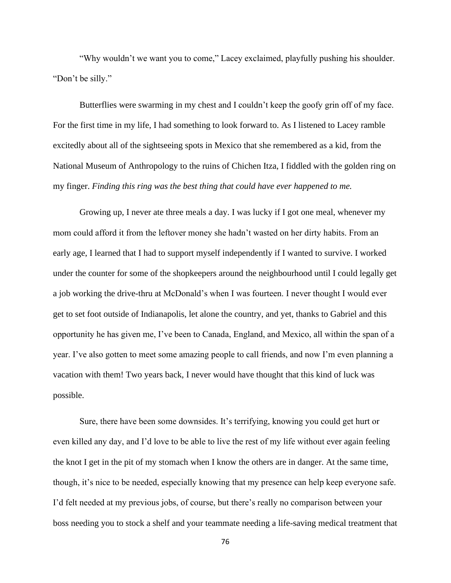"Why wouldn't we want you to come," Lacey exclaimed, playfully pushing his shoulder. "Don't be silly."

Butterflies were swarming in my chest and I couldn't keep the goofy grin off of my face. For the first time in my life, I had something to look forward to. As I listened to Lacey ramble excitedly about all of the sightseeing spots in Mexico that she remembered as a kid, from the National Museum of Anthropology to the ruins of Chichen Itza, I fiddled with the golden ring on my finger. *Finding this ring was the best thing that could have ever happened to me.*

Growing up, I never ate three meals a day. I was lucky if I got one meal, whenever my mom could afford it from the leftover money she hadn't wasted on her dirty habits. From an early age, I learned that I had to support myself independently if I wanted to survive. I worked under the counter for some of the shopkeepers around the neighbourhood until I could legally get a job working the drive-thru at McDonald's when I was fourteen. I never thought I would ever get to set foot outside of Indianapolis, let alone the country, and yet, thanks to Gabriel and this opportunity he has given me, I've been to Canada, England, and Mexico, all within the span of a year. I've also gotten to meet some amazing people to call friends, and now I'm even planning a vacation with them! Two years back, I never would have thought that this kind of luck was possible.

Sure, there have been some downsides. It's terrifying, knowing you could get hurt or even killed any day, and I'd love to be able to live the rest of my life without ever again feeling the knot I get in the pit of my stomach when I know the others are in danger. At the same time, though, it's nice to be needed, especially knowing that my presence can help keep everyone safe. I'd felt needed at my previous jobs, of course, but there's really no comparison between your boss needing you to stock a shelf and your teammate needing a life-saving medical treatment that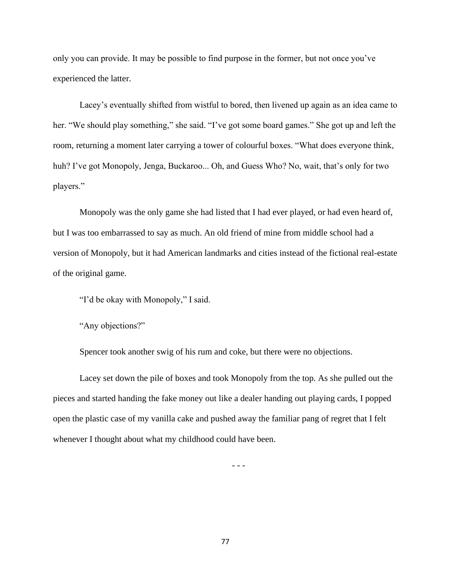only you can provide. It may be possible to find purpose in the former, but not once you've experienced the latter.

Lacey's eventually shifted from wistful to bored, then livened up again as an idea came to her. "We should play something," she said. "I've got some board games." She got up and left the room, returning a moment later carrying a tower of colourful boxes. "What does everyone think, huh? I've got Monopoly, Jenga, Buckaroo... Oh, and Guess Who? No, wait, that's only for two players."

Monopoly was the only game she had listed that I had ever played, or had even heard of, but I was too embarrassed to say as much. An old friend of mine from middle school had a version of Monopoly, but it had American landmarks and cities instead of the fictional real-estate of the original game.

"I'd be okay with Monopoly," I said.

"Any objections?"

Spencer took another swig of his rum and coke, but there were no objections.

Lacey set down the pile of boxes and took Monopoly from the top. As she pulled out the pieces and started handing the fake money out like a dealer handing out playing cards, I popped open the plastic case of my vanilla cake and pushed away the familiar pang of regret that I felt whenever I thought about what my childhood could have been.

- - -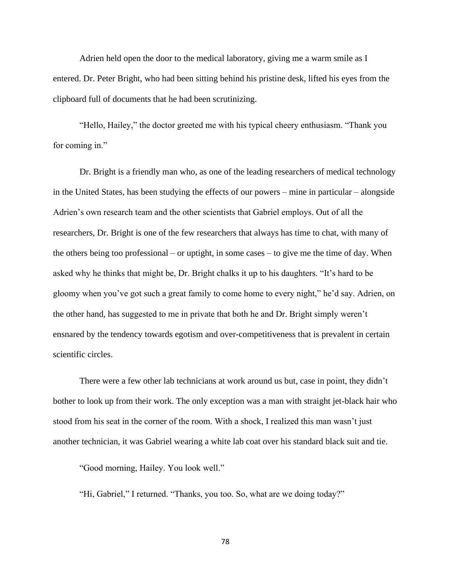Adrien held open the door to the medical laboratory, giving me a warm smile as I entered. Dr. Peter Bright, who had been sitting behind his pristine desk, lifted his eyes from the clipboard full of documents that he had been scrutinizing.

"Hello, Hailey," the doctor greeted me with his typical cheery enthusiasm. "Thank you for coming in."

Dr. Bright is a friendly man who, as one of the leading researchers of medical technology in the United States, has been studying the effects of our powers – mine in particular – alongside Adrien's own research team and the other scientists that Gabriel employs. Out of all the researchers, Dr. Bright is one of the few researchers that always has time to chat, with many of the others being too professional – or uptight, in some cases – to give me the time of day. When asked why he thinks that might be, Dr. Bright chalks it up to his daughters. "It's hard to be gloomy when you've got such a great family to come home to every night," he'd say. Adrien, on the other hand, has suggested to me in private that both he and Dr. Bright simply weren't ensnared by the tendency towards egotism and over-competitiveness that is prevalent in certain scientific circles.

There were a few other lab technicians at work around us but, case in point, they didn't bother to look up from their work. The only exception was a man with straight jet-black hair who stood from his seat in the corner of the room. With a shock, I realized this man wasn't just another technician, it was Gabriel wearing a white lab coat over his standard black suit and tie.

"Good morning, Hailey. You look well."

"Hi, Gabriel," I returned. "Thanks, you too. So, what are we doing today?"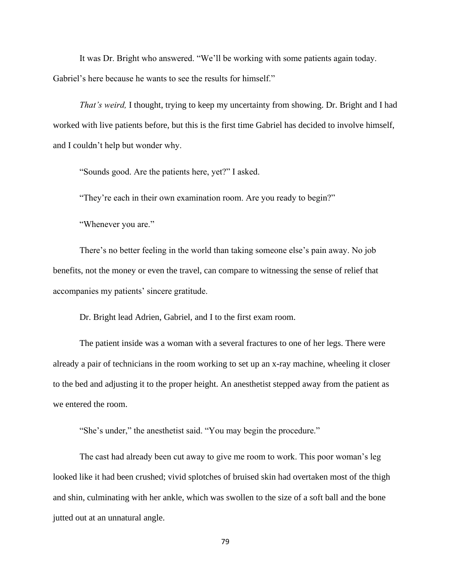It was Dr. Bright who answered. "We'll be working with some patients again today. Gabriel's here because he wants to see the results for himself."

*That's weird,* I thought, trying to keep my uncertainty from showing. Dr. Bright and I had worked with live patients before, but this is the first time Gabriel has decided to involve himself, and I couldn't help but wonder why.

"Sounds good. Are the patients here, yet?" I asked.

"They're each in their own examination room. Are you ready to begin?"

"Whenever you are."

There's no better feeling in the world than taking someone else's pain away. No job benefits, not the money or even the travel, can compare to witnessing the sense of relief that accompanies my patients' sincere gratitude.

Dr. Bright lead Adrien, Gabriel, and I to the first exam room.

The patient inside was a woman with a several fractures to one of her legs. There were already a pair of technicians in the room working to set up an x-ray machine, wheeling it closer to the bed and adjusting it to the proper height. An anesthetist stepped away from the patient as we entered the room.

"She's under," the anesthetist said. "You may begin the procedure."

The cast had already been cut away to give me room to work. This poor woman's leg looked like it had been crushed; vivid splotches of bruised skin had overtaken most of the thigh and shin, culminating with her ankle, which was swollen to the size of a soft ball and the bone jutted out at an unnatural angle.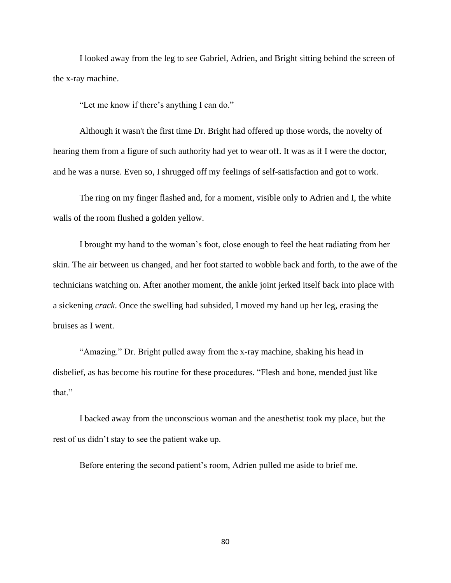I looked away from the leg to see Gabriel, Adrien, and Bright sitting behind the screen of the x-ray machine.

"Let me know if there's anything I can do."

Although it wasn't the first time Dr. Bright had offered up those words, the novelty of hearing them from a figure of such authority had yet to wear off. It was as if I were the doctor, and he was a nurse. Even so, I shrugged off my feelings of self-satisfaction and got to work.

The ring on my finger flashed and, for a moment, visible only to Adrien and I, the white walls of the room flushed a golden yellow.

I brought my hand to the woman's foot, close enough to feel the heat radiating from her skin. The air between us changed, and her foot started to wobble back and forth, to the awe of the technicians watching on. After another moment, the ankle joint jerked itself back into place with a sickening *crack*. Once the swelling had subsided, I moved my hand up her leg, erasing the bruises as I went.

"Amazing." Dr. Bright pulled away from the x-ray machine, shaking his head in disbelief, as has become his routine for these procedures. "Flesh and bone, mended just like that."

I backed away from the unconscious woman and the anesthetist took my place, but the rest of us didn't stay to see the patient wake up.

Before entering the second patient's room, Adrien pulled me aside to brief me.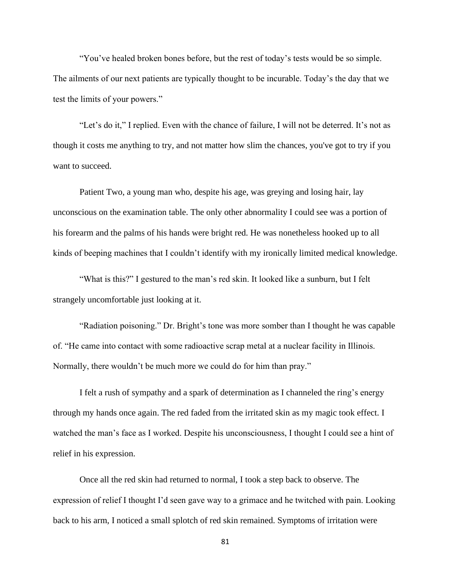"You've healed broken bones before, but the rest of today's tests would be so simple. The ailments of our next patients are typically thought to be incurable. Today's the day that we test the limits of your powers."

"Let's do it," I replied. Even with the chance of failure, I will not be deterred. It's not as though it costs me anything to try, and not matter how slim the chances, you've got to try if you want to succeed.

Patient Two, a young man who, despite his age, was greying and losing hair, lay unconscious on the examination table. The only other abnormality I could see was a portion of his forearm and the palms of his hands were bright red. He was nonetheless hooked up to all kinds of beeping machines that I couldn't identify with my ironically limited medical knowledge.

"What is this?" I gestured to the man's red skin. It looked like a sunburn, but I felt strangely uncomfortable just looking at it.

"Radiation poisoning." Dr. Bright's tone was more somber than I thought he was capable of. "He came into contact with some radioactive scrap metal at a nuclear facility in Illinois. Normally, there wouldn't be much more we could do for him than pray."

I felt a rush of sympathy and a spark of determination as I channeled the ring's energy through my hands once again. The red faded from the irritated skin as my magic took effect. I watched the man's face as I worked. Despite his unconsciousness, I thought I could see a hint of relief in his expression.

Once all the red skin had returned to normal, I took a step back to observe. The expression of relief I thought I'd seen gave way to a grimace and he twitched with pain. Looking back to his arm, I noticed a small splotch of red skin remained. Symptoms of irritation were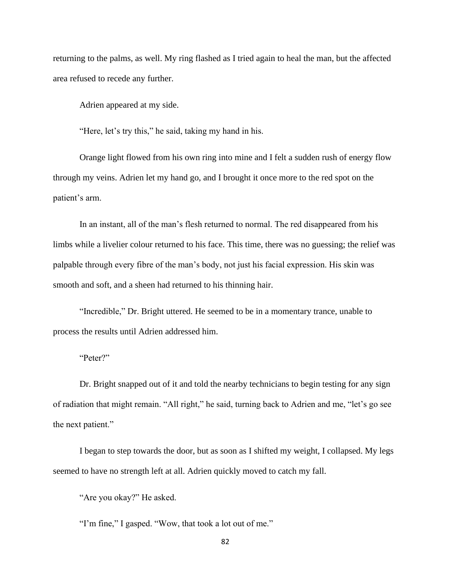returning to the palms, as well. My ring flashed as I tried again to heal the man, but the affected area refused to recede any further.

Adrien appeared at my side.

"Here, let's try this," he said, taking my hand in his.

Orange light flowed from his own ring into mine and I felt a sudden rush of energy flow through my veins. Adrien let my hand go, and I brought it once more to the red spot on the patient's arm.

In an instant, all of the man's flesh returned to normal. The red disappeared from his limbs while a livelier colour returned to his face. This time, there was no guessing; the relief was palpable through every fibre of the man's body, not just his facial expression. His skin was smooth and soft, and a sheen had returned to his thinning hair.

"Incredible," Dr. Bright uttered. He seemed to be in a momentary trance, unable to process the results until Adrien addressed him.

"Peter?"

Dr. Bright snapped out of it and told the nearby technicians to begin testing for any sign of radiation that might remain. "All right," he said, turning back to Adrien and me, "let's go see the next patient."

I began to step towards the door, but as soon as I shifted my weight, I collapsed. My legs seemed to have no strength left at all. Adrien quickly moved to catch my fall.

"Are you okay?" He asked.

"I'm fine," I gasped. "Wow, that took a lot out of me."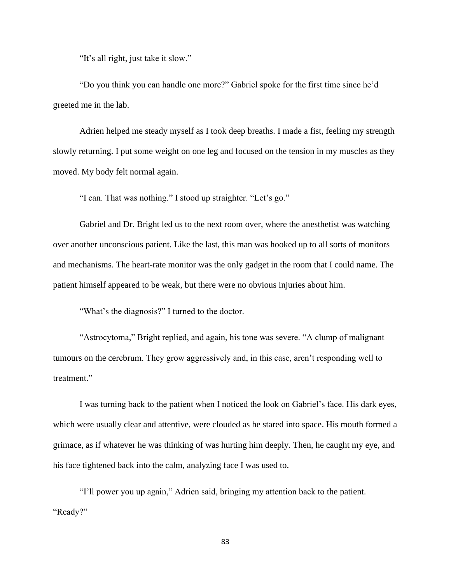"It's all right, just take it slow."

"Do you think you can handle one more?" Gabriel spoke for the first time since he'd greeted me in the lab.

Adrien helped me steady myself as I took deep breaths. I made a fist, feeling my strength slowly returning. I put some weight on one leg and focused on the tension in my muscles as they moved. My body felt normal again.

"I can. That was nothing." I stood up straighter. "Let's go."

Gabriel and Dr. Bright led us to the next room over, where the anesthetist was watching over another unconscious patient. Like the last, this man was hooked up to all sorts of monitors and mechanisms. The heart-rate monitor was the only gadget in the room that I could name. The patient himself appeared to be weak, but there were no obvious injuries about him.

"What's the diagnosis?" I turned to the doctor.

"Astrocytoma," Bright replied, and again, his tone was severe. "A clump of malignant tumours on the cerebrum. They grow aggressively and, in this case, aren't responding well to treatment."

I was turning back to the patient when I noticed the look on Gabriel's face. His dark eyes, which were usually clear and attentive, were clouded as he stared into space. His mouth formed a grimace, as if whatever he was thinking of was hurting him deeply. Then, he caught my eye, and his face tightened back into the calm, analyzing face I was used to.

"I'll power you up again," Adrien said, bringing my attention back to the patient. "Ready?"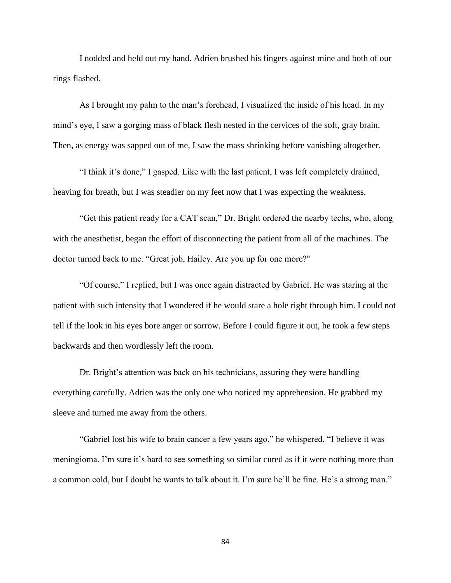I nodded and held out my hand. Adrien brushed his fingers against mine and both of our rings flashed.

As I brought my palm to the man's forehead, I visualized the inside of his head. In my mind's eye, I saw a gorging mass of black flesh nested in the cervices of the soft, gray brain. Then, as energy was sapped out of me, I saw the mass shrinking before vanishing altogether.

"I think it's done," I gasped. Like with the last patient, I was left completely drained, heaving for breath, but I was steadier on my feet now that I was expecting the weakness.

"Get this patient ready for a CAT scan," Dr. Bright ordered the nearby techs, who, along with the anesthetist, began the effort of disconnecting the patient from all of the machines. The doctor turned back to me. "Great job, Hailey. Are you up for one more?"

"Of course," I replied, but I was once again distracted by Gabriel. He was staring at the patient with such intensity that I wondered if he would stare a hole right through him. I could not tell if the look in his eyes bore anger or sorrow. Before I could figure it out, he took a few steps backwards and then wordlessly left the room.

Dr. Bright's attention was back on his technicians, assuring they were handling everything carefully. Adrien was the only one who noticed my apprehension. He grabbed my sleeve and turned me away from the others.

"Gabriel lost his wife to brain cancer a few years ago," he whispered. "I believe it was meningioma. I'm sure it's hard to see something so similar cured as if it were nothing more than a common cold, but I doubt he wants to talk about it. I'm sure he'll be fine. He's a strong man."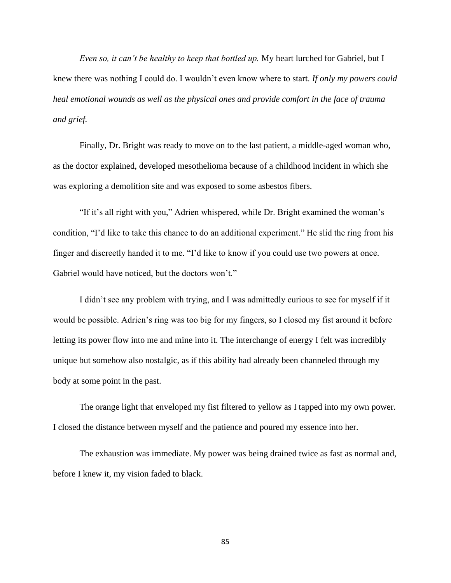*Even so, it can't be healthy to keep that bottled up.* My heart lurched for Gabriel, but I knew there was nothing I could do. I wouldn't even know where to start. *If only my powers could heal emotional wounds as well as the physical ones and provide comfort in the face of trauma and grief.*

Finally, Dr. Bright was ready to move on to the last patient, a middle-aged woman who, as the doctor explained, developed mesothelioma because of a childhood incident in which she was exploring a demolition site and was exposed to some asbestos fibers.

"If it's all right with you," Adrien whispered, while Dr. Bright examined the woman's condition, "I'd like to take this chance to do an additional experiment." He slid the ring from his finger and discreetly handed it to me. "I'd like to know if you could use two powers at once. Gabriel would have noticed, but the doctors won't."

I didn't see any problem with trying, and I was admittedly curious to see for myself if it would be possible. Adrien's ring was too big for my fingers, so I closed my fist around it before letting its power flow into me and mine into it. The interchange of energy I felt was incredibly unique but somehow also nostalgic, as if this ability had already been channeled through my body at some point in the past.

The orange light that enveloped my fist filtered to yellow as I tapped into my own power. I closed the distance between myself and the patience and poured my essence into her.

The exhaustion was immediate. My power was being drained twice as fast as normal and, before I knew it, my vision faded to black.